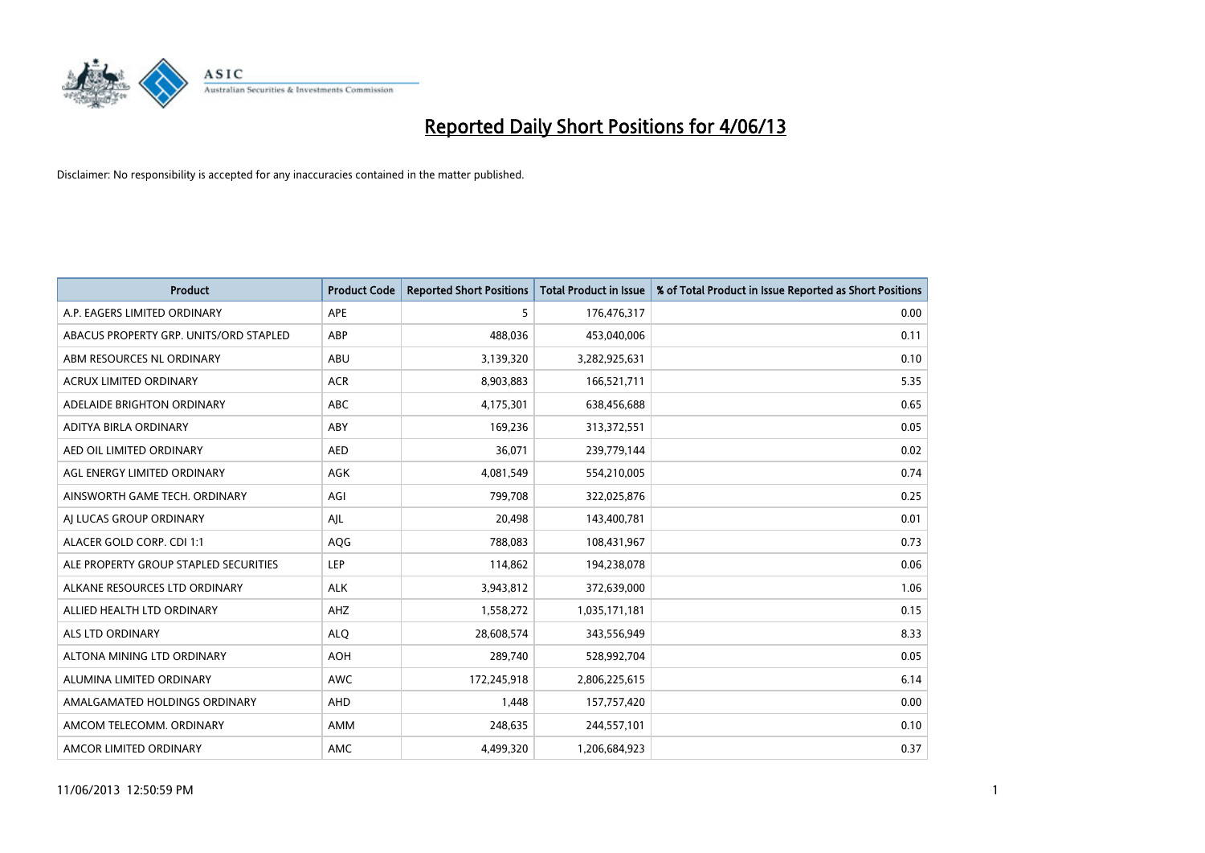

| <b>Product</b>                         | <b>Product Code</b> | <b>Reported Short Positions</b> | <b>Total Product in Issue</b> | % of Total Product in Issue Reported as Short Positions |
|----------------------------------------|---------------------|---------------------------------|-------------------------------|---------------------------------------------------------|
| A.P. EAGERS LIMITED ORDINARY           | APE                 | 5                               | 176,476,317                   | 0.00                                                    |
| ABACUS PROPERTY GRP. UNITS/ORD STAPLED | ABP                 | 488,036                         | 453,040,006                   | 0.11                                                    |
| ABM RESOURCES NL ORDINARY              | ABU                 | 3,139,320                       | 3,282,925,631                 | 0.10                                                    |
| ACRUX LIMITED ORDINARY                 | <b>ACR</b>          | 8,903,883                       | 166,521,711                   | 5.35                                                    |
| ADELAIDE BRIGHTON ORDINARY             | <b>ABC</b>          | 4,175,301                       | 638,456,688                   | 0.65                                                    |
| ADITYA BIRLA ORDINARY                  | ABY                 | 169,236                         | 313,372,551                   | 0.05                                                    |
| AED OIL LIMITED ORDINARY               | <b>AED</b>          | 36,071                          | 239,779,144                   | 0.02                                                    |
| AGL ENERGY LIMITED ORDINARY            | AGK                 | 4,081,549                       | 554,210,005                   | 0.74                                                    |
| AINSWORTH GAME TECH. ORDINARY          | AGI                 | 799,708                         | 322,025,876                   | 0.25                                                    |
| AI LUCAS GROUP ORDINARY                | AJL                 | 20,498                          | 143,400,781                   | 0.01                                                    |
| ALACER GOLD CORP. CDI 1:1              | AQG                 | 788,083                         | 108,431,967                   | 0.73                                                    |
| ALE PROPERTY GROUP STAPLED SECURITIES  | LEP                 | 114,862                         | 194,238,078                   | 0.06                                                    |
| ALKANE RESOURCES LTD ORDINARY          | <b>ALK</b>          | 3,943,812                       | 372,639,000                   | 1.06                                                    |
| ALLIED HEALTH LTD ORDINARY             | AHZ                 | 1,558,272                       | 1,035,171,181                 | 0.15                                                    |
| ALS LTD ORDINARY                       | <b>ALQ</b>          | 28,608,574                      | 343,556,949                   | 8.33                                                    |
| ALTONA MINING LTD ORDINARY             | <b>AOH</b>          | 289,740                         | 528,992,704                   | 0.05                                                    |
| ALUMINA LIMITED ORDINARY               | <b>AWC</b>          | 172,245,918                     | 2,806,225,615                 | 6.14                                                    |
| AMALGAMATED HOLDINGS ORDINARY          | AHD                 | 1,448                           | 157,757,420                   | 0.00                                                    |
| AMCOM TELECOMM. ORDINARY               | AMM                 | 248,635                         | 244,557,101                   | 0.10                                                    |
| AMCOR LIMITED ORDINARY                 | AMC                 | 4,499,320                       | 1,206,684,923                 | 0.37                                                    |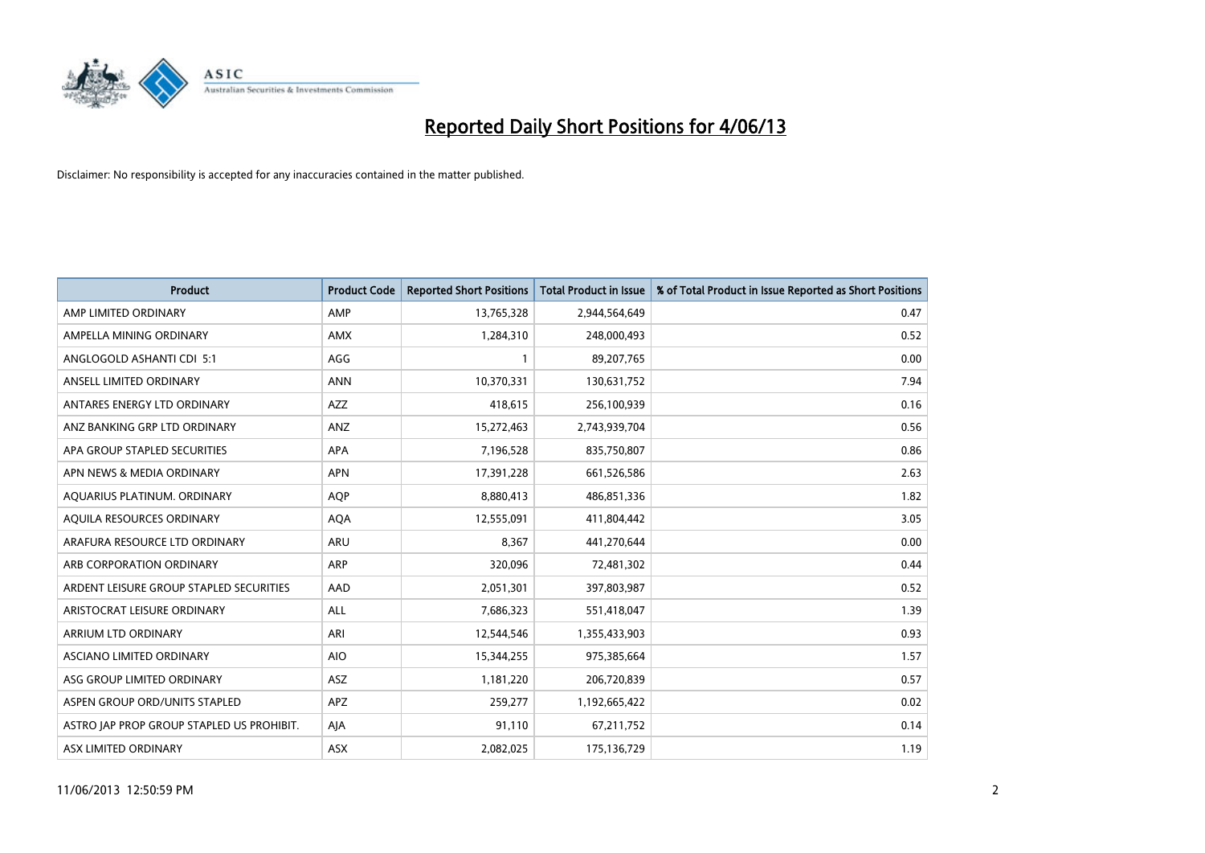

| <b>Product</b>                            | <b>Product Code</b> | <b>Reported Short Positions</b> | <b>Total Product in Issue</b> | % of Total Product in Issue Reported as Short Positions |
|-------------------------------------------|---------------------|---------------------------------|-------------------------------|---------------------------------------------------------|
| AMP LIMITED ORDINARY                      | AMP                 | 13,765,328                      | 2,944,564,649                 | 0.47                                                    |
| AMPELLA MINING ORDINARY                   | AMX                 | 1,284,310                       | 248,000,493                   | 0.52                                                    |
| ANGLOGOLD ASHANTI CDI 5:1                 | AGG                 | 1                               | 89,207,765                    | 0.00                                                    |
| ANSELL LIMITED ORDINARY                   | <b>ANN</b>          | 10,370,331                      | 130,631,752                   | 7.94                                                    |
| ANTARES ENERGY LTD ORDINARY               | <b>AZZ</b>          | 418,615                         | 256,100,939                   | 0.16                                                    |
| ANZ BANKING GRP LTD ORDINARY              | ANZ                 | 15,272,463                      | 2,743,939,704                 | 0.56                                                    |
| APA GROUP STAPLED SECURITIES              | APA                 | 7,196,528                       | 835,750,807                   | 0.86                                                    |
| APN NEWS & MEDIA ORDINARY                 | <b>APN</b>          | 17,391,228                      | 661,526,586                   | 2.63                                                    |
| AQUARIUS PLATINUM. ORDINARY               | <b>AOP</b>          | 8,880,413                       | 486,851,336                   | 1.82                                                    |
| AQUILA RESOURCES ORDINARY                 | <b>AQA</b>          | 12,555,091                      | 411,804,442                   | 3.05                                                    |
| ARAFURA RESOURCE LTD ORDINARY             | ARU                 | 8,367                           | 441,270,644                   | 0.00                                                    |
| ARB CORPORATION ORDINARY                  | ARP                 | 320,096                         | 72,481,302                    | 0.44                                                    |
| ARDENT LEISURE GROUP STAPLED SECURITIES   | AAD                 | 2,051,301                       | 397,803,987                   | 0.52                                                    |
| ARISTOCRAT LEISURE ORDINARY               | ALL                 | 7,686,323                       | 551,418,047                   | 1.39                                                    |
| ARRIUM LTD ORDINARY                       | ARI                 | 12,544,546                      | 1,355,433,903                 | 0.93                                                    |
| ASCIANO LIMITED ORDINARY                  | <b>AIO</b>          | 15,344,255                      | 975,385,664                   | 1.57                                                    |
| ASG GROUP LIMITED ORDINARY                | ASZ                 | 1,181,220                       | 206,720,839                   | 0.57                                                    |
| ASPEN GROUP ORD/UNITS STAPLED             | APZ                 | 259,277                         | 1,192,665,422                 | 0.02                                                    |
| ASTRO JAP PROP GROUP STAPLED US PROHIBIT. | AJA                 | 91,110                          | 67,211,752                    | 0.14                                                    |
| ASX LIMITED ORDINARY                      | ASX                 | 2,082,025                       | 175,136,729                   | 1.19                                                    |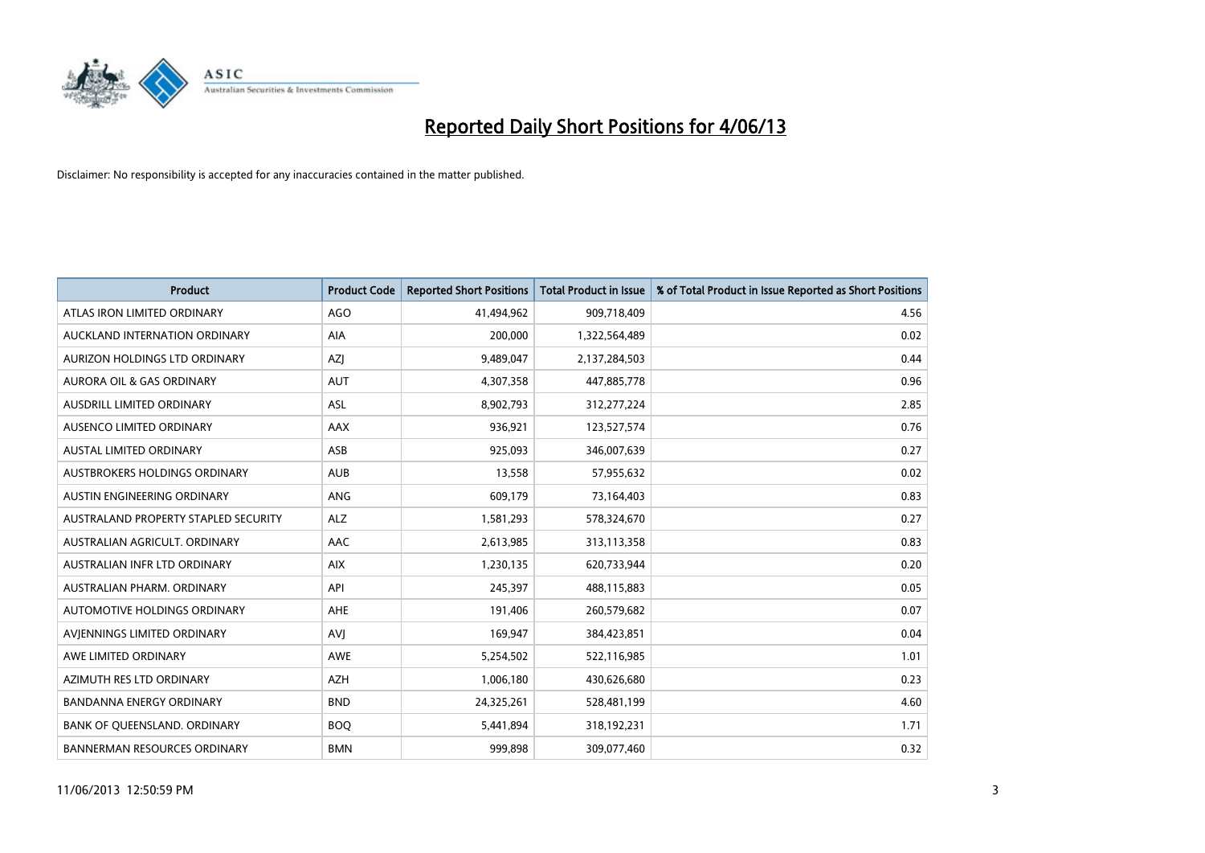

| <b>Product</b>                       | <b>Product Code</b> | <b>Reported Short Positions</b> | <b>Total Product in Issue</b> | % of Total Product in Issue Reported as Short Positions |
|--------------------------------------|---------------------|---------------------------------|-------------------------------|---------------------------------------------------------|
| ATLAS IRON LIMITED ORDINARY          | <b>AGO</b>          | 41,494,962                      | 909,718,409                   | 4.56                                                    |
| AUCKLAND INTERNATION ORDINARY        | AIA                 | 200,000                         | 1,322,564,489                 | 0.02                                                    |
| AURIZON HOLDINGS LTD ORDINARY        | AZJ                 | 9,489,047                       | 2,137,284,503                 | 0.44                                                    |
| AURORA OIL & GAS ORDINARY            | <b>AUT</b>          | 4,307,358                       | 447,885,778                   | 0.96                                                    |
| <b>AUSDRILL LIMITED ORDINARY</b>     | ASL                 | 8,902,793                       | 312,277,224                   | 2.85                                                    |
| AUSENCO LIMITED ORDINARY             | <b>AAX</b>          | 936,921                         | 123,527,574                   | 0.76                                                    |
| <b>AUSTAL LIMITED ORDINARY</b>       | ASB                 | 925,093                         | 346,007,639                   | 0.27                                                    |
| AUSTBROKERS HOLDINGS ORDINARY        | <b>AUB</b>          | 13,558                          | 57,955,632                    | 0.02                                                    |
| AUSTIN ENGINEERING ORDINARY          | <b>ANG</b>          | 609,179                         | 73,164,403                    | 0.83                                                    |
| AUSTRALAND PROPERTY STAPLED SECURITY | <b>ALZ</b>          | 1,581,293                       | 578,324,670                   | 0.27                                                    |
| AUSTRALIAN AGRICULT. ORDINARY        | AAC                 | 2,613,985                       | 313,113,358                   | 0.83                                                    |
| AUSTRALIAN INFR LTD ORDINARY         | <b>AIX</b>          | 1,230,135                       | 620,733,944                   | 0.20                                                    |
| AUSTRALIAN PHARM. ORDINARY           | API                 | 245,397                         | 488,115,883                   | 0.05                                                    |
| AUTOMOTIVE HOLDINGS ORDINARY         | AHE                 | 191,406                         | 260,579,682                   | 0.07                                                    |
| AVIENNINGS LIMITED ORDINARY          | <b>AVJ</b>          | 169,947                         | 384,423,851                   | 0.04                                                    |
| AWE LIMITED ORDINARY                 | AWE                 | 5,254,502                       | 522,116,985                   | 1.01                                                    |
| AZIMUTH RES LTD ORDINARY             | <b>AZH</b>          | 1,006,180                       | 430,626,680                   | 0.23                                                    |
| <b>BANDANNA ENERGY ORDINARY</b>      | <b>BND</b>          | 24,325,261                      | 528,481,199                   | 4.60                                                    |
| BANK OF QUEENSLAND. ORDINARY         | <b>BOQ</b>          | 5,441,894                       | 318,192,231                   | 1.71                                                    |
| BANNERMAN RESOURCES ORDINARY         | <b>BMN</b>          | 999,898                         | 309,077,460                   | 0.32                                                    |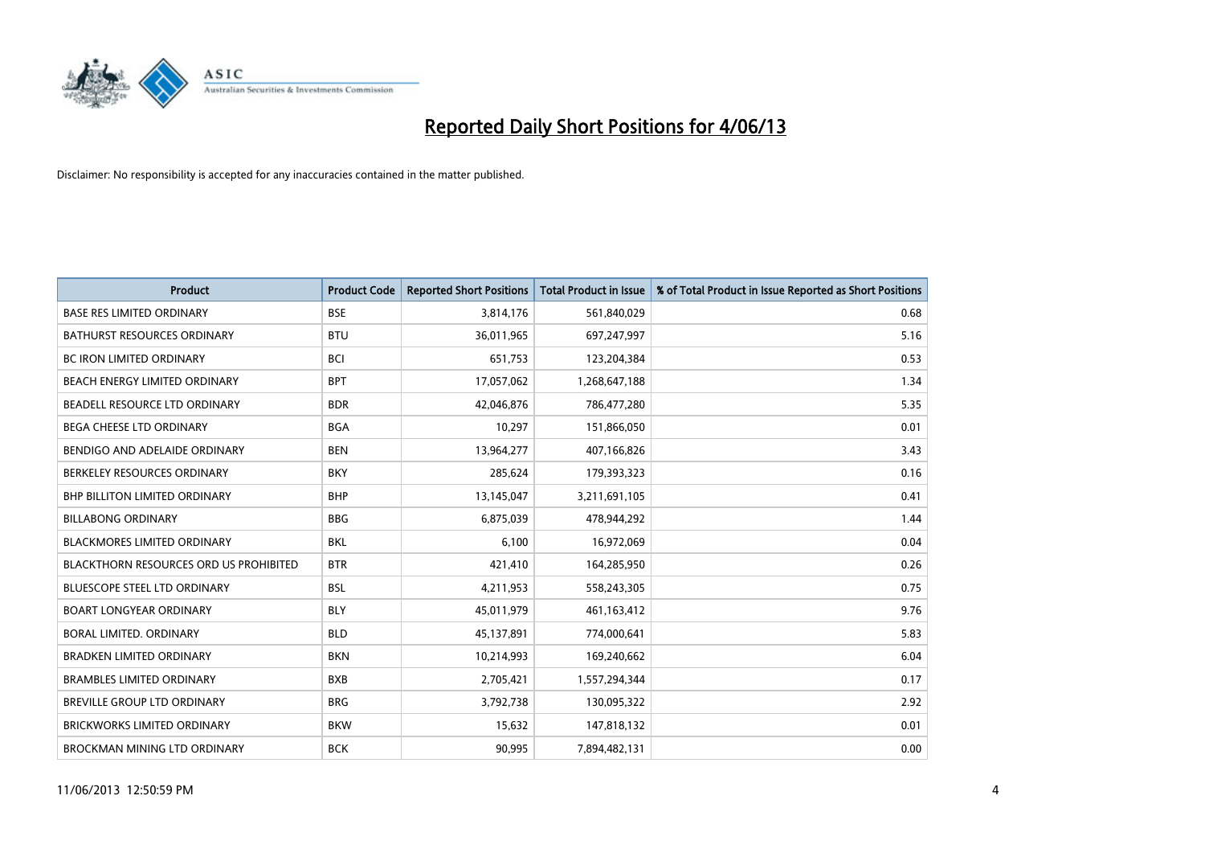

| <b>Product</b>                                | <b>Product Code</b> | <b>Reported Short Positions</b> | <b>Total Product in Issue</b> | % of Total Product in Issue Reported as Short Positions |
|-----------------------------------------------|---------------------|---------------------------------|-------------------------------|---------------------------------------------------------|
| <b>BASE RES LIMITED ORDINARY</b>              | <b>BSE</b>          | 3,814,176                       | 561,840,029                   | 0.68                                                    |
| <b>BATHURST RESOURCES ORDINARY</b>            | <b>BTU</b>          | 36,011,965                      | 697,247,997                   | 5.16                                                    |
| <b>BC IRON LIMITED ORDINARY</b>               | <b>BCI</b>          | 651,753                         | 123,204,384                   | 0.53                                                    |
| BEACH ENERGY LIMITED ORDINARY                 | <b>BPT</b>          | 17,057,062                      | 1,268,647,188                 | 1.34                                                    |
| BEADELL RESOURCE LTD ORDINARY                 | <b>BDR</b>          | 42,046,876                      | 786,477,280                   | 5.35                                                    |
| <b>BEGA CHEESE LTD ORDINARY</b>               | <b>BGA</b>          | 10,297                          | 151,866,050                   | 0.01                                                    |
| BENDIGO AND ADELAIDE ORDINARY                 | <b>BEN</b>          | 13,964,277                      | 407,166,826                   | 3.43                                                    |
| BERKELEY RESOURCES ORDINARY                   | <b>BKY</b>          | 285,624                         | 179,393,323                   | 0.16                                                    |
| <b>BHP BILLITON LIMITED ORDINARY</b>          | <b>BHP</b>          | 13,145,047                      | 3,211,691,105                 | 0.41                                                    |
| <b>BILLABONG ORDINARY</b>                     | <b>BBG</b>          | 6,875,039                       | 478,944,292                   | 1.44                                                    |
| BLACKMORES LIMITED ORDINARY                   | <b>BKL</b>          | 6,100                           | 16,972,069                    | 0.04                                                    |
| <b>BLACKTHORN RESOURCES ORD US PROHIBITED</b> | <b>BTR</b>          | 421,410                         | 164,285,950                   | 0.26                                                    |
| <b>BLUESCOPE STEEL LTD ORDINARY</b>           | <b>BSL</b>          | 4,211,953                       | 558,243,305                   | 0.75                                                    |
| <b>BOART LONGYEAR ORDINARY</b>                | <b>BLY</b>          | 45,011,979                      | 461,163,412                   | 9.76                                                    |
| <b>BORAL LIMITED, ORDINARY</b>                | <b>BLD</b>          | 45,137,891                      | 774,000,641                   | 5.83                                                    |
| <b>BRADKEN LIMITED ORDINARY</b>               | <b>BKN</b>          | 10,214,993                      | 169,240,662                   | 6.04                                                    |
| <b>BRAMBLES LIMITED ORDINARY</b>              | <b>BXB</b>          | 2,705,421                       | 1,557,294,344                 | 0.17                                                    |
| <b>BREVILLE GROUP LTD ORDINARY</b>            | <b>BRG</b>          | 3,792,738                       | 130,095,322                   | 2.92                                                    |
| <b>BRICKWORKS LIMITED ORDINARY</b>            | <b>BKW</b>          | 15,632                          | 147,818,132                   | 0.01                                                    |
| <b>BROCKMAN MINING LTD ORDINARY</b>           | <b>BCK</b>          | 90,995                          | 7,894,482,131                 | 0.00                                                    |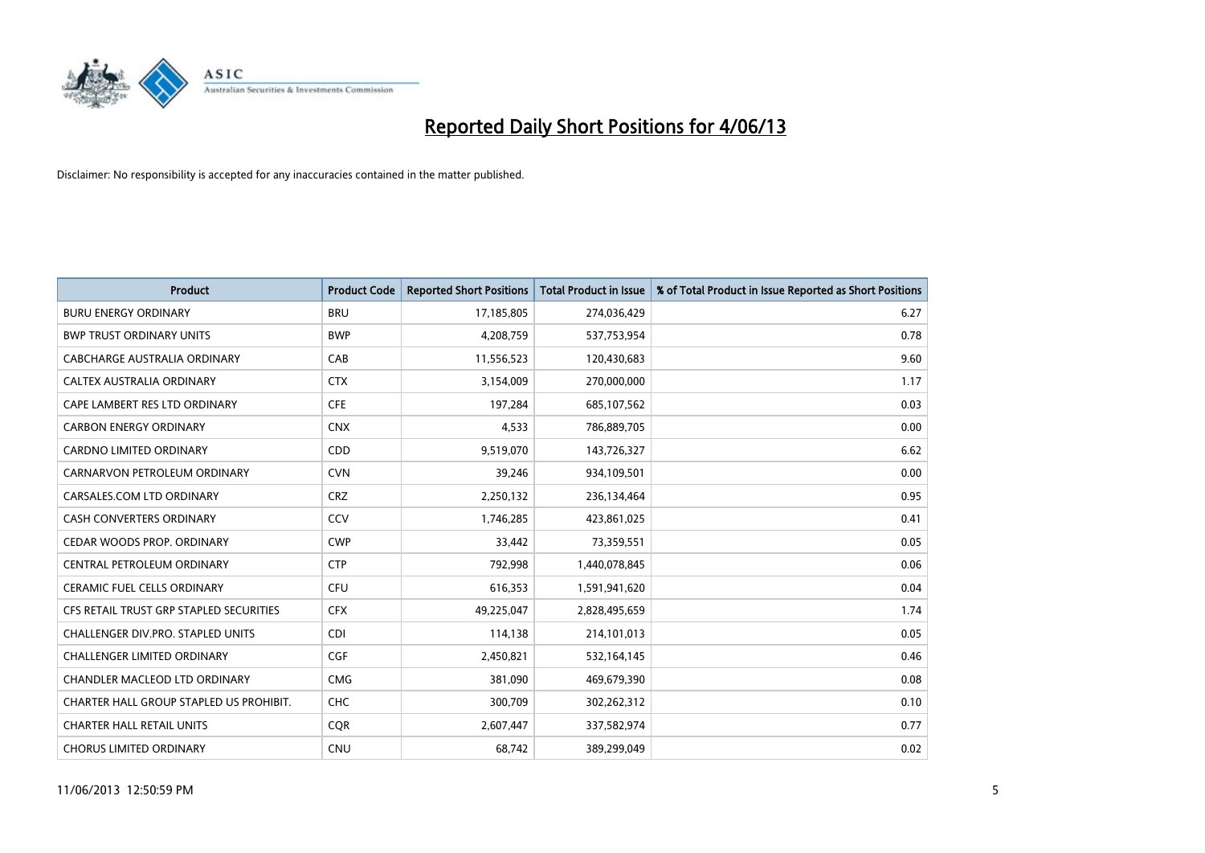

| <b>Product</b>                          | <b>Product Code</b> | <b>Reported Short Positions</b> | <b>Total Product in Issue</b> | % of Total Product in Issue Reported as Short Positions |
|-----------------------------------------|---------------------|---------------------------------|-------------------------------|---------------------------------------------------------|
| <b>BURU ENERGY ORDINARY</b>             | <b>BRU</b>          | 17,185,805                      | 274,036,429                   | 6.27                                                    |
| <b>BWP TRUST ORDINARY UNITS</b>         | <b>BWP</b>          | 4,208,759                       | 537,753,954                   | 0.78                                                    |
| CABCHARGE AUSTRALIA ORDINARY            | CAB                 | 11,556,523                      | 120,430,683                   | 9.60                                                    |
| CALTEX AUSTRALIA ORDINARY               | <b>CTX</b>          | 3,154,009                       | 270,000,000                   | 1.17                                                    |
| CAPE LAMBERT RES LTD ORDINARY           | <b>CFE</b>          | 197,284                         | 685,107,562                   | 0.03                                                    |
| <b>CARBON ENERGY ORDINARY</b>           | <b>CNX</b>          | 4,533                           | 786,889,705                   | 0.00                                                    |
| <b>CARDNO LIMITED ORDINARY</b>          | CDD                 | 9,519,070                       | 143,726,327                   | 6.62                                                    |
| CARNARVON PETROLEUM ORDINARY            | <b>CVN</b>          | 39,246                          | 934,109,501                   | 0.00                                                    |
| CARSALES.COM LTD ORDINARY               | <b>CRZ</b>          | 2,250,132                       | 236,134,464                   | 0.95                                                    |
| <b>CASH CONVERTERS ORDINARY</b>         | CCV                 | 1,746,285                       | 423,861,025                   | 0.41                                                    |
| CEDAR WOODS PROP. ORDINARY              | <b>CWP</b>          | 33,442                          | 73,359,551                    | 0.05                                                    |
| CENTRAL PETROLEUM ORDINARY              | <b>CTP</b>          | 792,998                         | 1,440,078,845                 | 0.06                                                    |
| <b>CERAMIC FUEL CELLS ORDINARY</b>      | <b>CFU</b>          | 616,353                         | 1,591,941,620                 | 0.04                                                    |
| CFS RETAIL TRUST GRP STAPLED SECURITIES | <b>CFX</b>          | 49,225,047                      | 2,828,495,659                 | 1.74                                                    |
| CHALLENGER DIV.PRO. STAPLED UNITS       | <b>CDI</b>          | 114,138                         | 214,101,013                   | 0.05                                                    |
| CHALLENGER LIMITED ORDINARY             | <b>CGF</b>          | 2,450,821                       | 532,164,145                   | 0.46                                                    |
| CHANDLER MACLEOD LTD ORDINARY           | <b>CMG</b>          | 381,090                         | 469,679,390                   | 0.08                                                    |
| CHARTER HALL GROUP STAPLED US PROHIBIT. | <b>CHC</b>          | 300,709                         | 302,262,312                   | 0.10                                                    |
| <b>CHARTER HALL RETAIL UNITS</b>        | <b>COR</b>          | 2,607,447                       | 337,582,974                   | 0.77                                                    |
| <b>CHORUS LIMITED ORDINARY</b>          | <b>CNU</b>          | 68,742                          | 389,299,049                   | 0.02                                                    |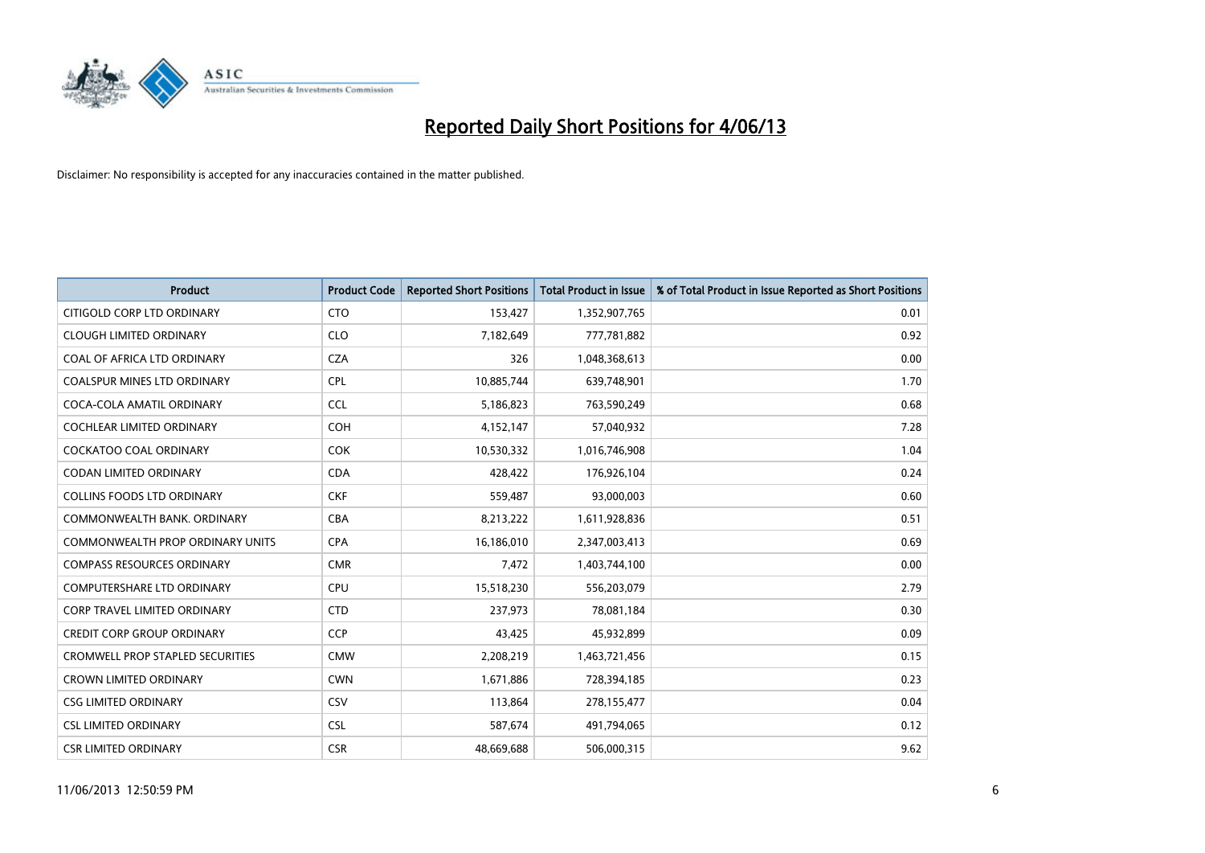

| <b>Product</b>                          | <b>Product Code</b> | <b>Reported Short Positions</b> | <b>Total Product in Issue</b> | % of Total Product in Issue Reported as Short Positions |
|-----------------------------------------|---------------------|---------------------------------|-------------------------------|---------------------------------------------------------|
| CITIGOLD CORP LTD ORDINARY              | <b>CTO</b>          | 153,427                         | 1,352,907,765                 | 0.01                                                    |
| <b>CLOUGH LIMITED ORDINARY</b>          | <b>CLO</b>          | 7,182,649                       | 777,781,882                   | 0.92                                                    |
| COAL OF AFRICA LTD ORDINARY             | <b>CZA</b>          | 326                             | 1,048,368,613                 | 0.00                                                    |
| COALSPUR MINES LTD ORDINARY             | <b>CPL</b>          | 10,885,744                      | 639,748,901                   | 1.70                                                    |
| COCA-COLA AMATIL ORDINARY               | <b>CCL</b>          | 5,186,823                       | 763,590,249                   | 0.68                                                    |
| <b>COCHLEAR LIMITED ORDINARY</b>        | <b>COH</b>          | 4,152,147                       | 57,040,932                    | 7.28                                                    |
| COCKATOO COAL ORDINARY                  | <b>COK</b>          | 10,530,332                      | 1,016,746,908                 | 1.04                                                    |
| CODAN LIMITED ORDINARY                  | <b>CDA</b>          | 428,422                         | 176,926,104                   | 0.24                                                    |
| <b>COLLINS FOODS LTD ORDINARY</b>       | <b>CKF</b>          | 559,487                         | 93,000,003                    | 0.60                                                    |
| COMMONWEALTH BANK, ORDINARY             | <b>CBA</b>          | 8,213,222                       | 1,611,928,836                 | 0.51                                                    |
| COMMONWEALTH PROP ORDINARY UNITS        | <b>CPA</b>          | 16,186,010                      | 2,347,003,413                 | 0.69                                                    |
| <b>COMPASS RESOURCES ORDINARY</b>       | <b>CMR</b>          | 7,472                           | 1,403,744,100                 | 0.00                                                    |
| COMPUTERSHARE LTD ORDINARY              | <b>CPU</b>          | 15,518,230                      | 556,203,079                   | 2.79                                                    |
| <b>CORP TRAVEL LIMITED ORDINARY</b>     | <b>CTD</b>          | 237,973                         | 78,081,184                    | 0.30                                                    |
| <b>CREDIT CORP GROUP ORDINARY</b>       | <b>CCP</b>          | 43,425                          | 45,932,899                    | 0.09                                                    |
| <b>CROMWELL PROP STAPLED SECURITIES</b> | <b>CMW</b>          | 2,208,219                       | 1,463,721,456                 | 0.15                                                    |
| <b>CROWN LIMITED ORDINARY</b>           | <b>CWN</b>          | 1,671,886                       | 728,394,185                   | 0.23                                                    |
| <b>CSG LIMITED ORDINARY</b>             | CSV                 | 113,864                         | 278,155,477                   | 0.04                                                    |
| <b>CSL LIMITED ORDINARY</b>             | <b>CSL</b>          | 587,674                         | 491,794,065                   | 0.12                                                    |
| <b>CSR LIMITED ORDINARY</b>             | <b>CSR</b>          | 48,669,688                      | 506,000,315                   | 9.62                                                    |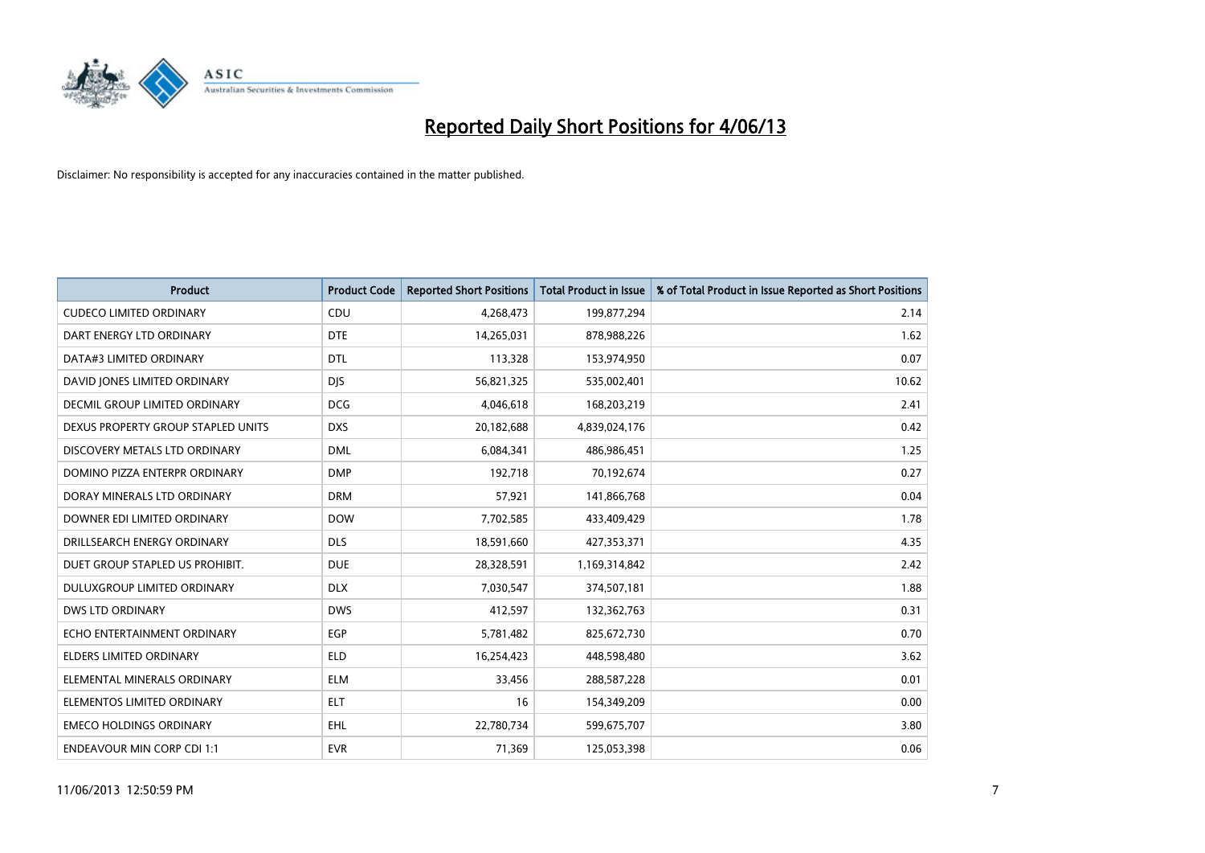

| <b>Product</b>                     | <b>Product Code</b> | <b>Reported Short Positions</b> | <b>Total Product in Issue</b> | % of Total Product in Issue Reported as Short Positions |
|------------------------------------|---------------------|---------------------------------|-------------------------------|---------------------------------------------------------|
| <b>CUDECO LIMITED ORDINARY</b>     | CDU                 | 4,268,473                       | 199,877,294                   | 2.14                                                    |
| DART ENERGY LTD ORDINARY           | <b>DTE</b>          | 14,265,031                      | 878,988,226                   | 1.62                                                    |
| DATA#3 LIMITED ORDINARY            | <b>DTL</b>          | 113,328                         | 153,974,950                   | 0.07                                                    |
| DAVID JONES LIMITED ORDINARY       | <b>DJS</b>          | 56,821,325                      | 535,002,401                   | 10.62                                                   |
| DECMIL GROUP LIMITED ORDINARY      | <b>DCG</b>          | 4,046,618                       | 168,203,219                   | 2.41                                                    |
| DEXUS PROPERTY GROUP STAPLED UNITS | <b>DXS</b>          | 20,182,688                      | 4,839,024,176                 | 0.42                                                    |
| DISCOVERY METALS LTD ORDINARY      | <b>DML</b>          | 6,084,341                       | 486,986,451                   | 1.25                                                    |
| DOMINO PIZZA ENTERPR ORDINARY      | <b>DMP</b>          | 192,718                         | 70,192,674                    | 0.27                                                    |
| DORAY MINERALS LTD ORDINARY        | <b>DRM</b>          | 57,921                          | 141,866,768                   | 0.04                                                    |
| DOWNER EDI LIMITED ORDINARY        | <b>DOW</b>          | 7,702,585                       | 433,409,429                   | 1.78                                                    |
| DRILLSEARCH ENERGY ORDINARY        | <b>DLS</b>          | 18,591,660                      | 427,353,371                   | 4.35                                                    |
| DUET GROUP STAPLED US PROHIBIT.    | <b>DUE</b>          | 28,328,591                      | 1,169,314,842                 | 2.42                                                    |
| DULUXGROUP LIMITED ORDINARY        | <b>DLX</b>          | 7,030,547                       | 374,507,181                   | 1.88                                                    |
| <b>DWS LTD ORDINARY</b>            | <b>DWS</b>          | 412,597                         | 132,362,763                   | 0.31                                                    |
| ECHO ENTERTAINMENT ORDINARY        | <b>EGP</b>          | 5,781,482                       | 825,672,730                   | 0.70                                                    |
| ELDERS LIMITED ORDINARY            | <b>ELD</b>          | 16,254,423                      | 448,598,480                   | 3.62                                                    |
| ELEMENTAL MINERALS ORDINARY        | <b>ELM</b>          | 33,456                          | 288,587,228                   | 0.01                                                    |
| ELEMENTOS LIMITED ORDINARY         | <b>ELT</b>          | 16                              | 154,349,209                   | 0.00                                                    |
| <b>EMECO HOLDINGS ORDINARY</b>     | <b>EHL</b>          | 22,780,734                      | 599,675,707                   | 3.80                                                    |
| <b>ENDEAVOUR MIN CORP CDI 1:1</b>  | <b>EVR</b>          | 71,369                          | 125,053,398                   | 0.06                                                    |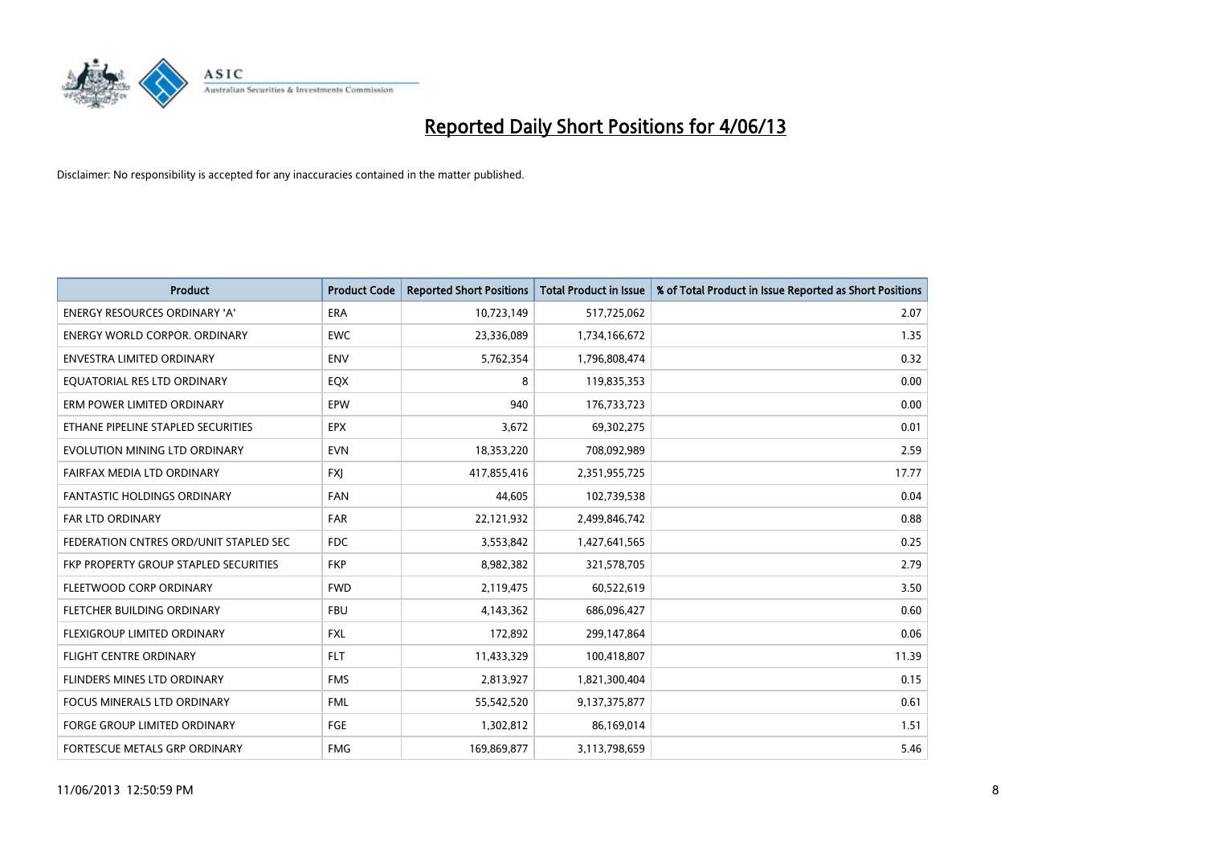

| <b>Product</b>                         | <b>Product Code</b> | <b>Reported Short Positions</b> | <b>Total Product in Issue</b> | % of Total Product in Issue Reported as Short Positions |
|----------------------------------------|---------------------|---------------------------------|-------------------------------|---------------------------------------------------------|
| <b>ENERGY RESOURCES ORDINARY 'A'</b>   | <b>ERA</b>          | 10,723,149                      | 517,725,062                   | 2.07                                                    |
| <b>ENERGY WORLD CORPOR. ORDINARY</b>   | <b>EWC</b>          | 23,336,089                      | 1,734,166,672                 | 1.35                                                    |
| <b>ENVESTRA LIMITED ORDINARY</b>       | <b>ENV</b>          | 5,762,354                       | 1,796,808,474                 | 0.32                                                    |
| EQUATORIAL RES LTD ORDINARY            | EQX                 | 8                               | 119,835,353                   | 0.00                                                    |
| ERM POWER LIMITED ORDINARY             | EPW                 | 940                             | 176,733,723                   | 0.00                                                    |
| ETHANE PIPELINE STAPLED SECURITIES     | <b>EPX</b>          | 3,672                           | 69,302,275                    | 0.01                                                    |
| EVOLUTION MINING LTD ORDINARY          | <b>EVN</b>          | 18,353,220                      | 708,092,989                   | 2.59                                                    |
| FAIRFAX MEDIA LTD ORDINARY             | <b>FXI</b>          | 417,855,416                     | 2,351,955,725                 | 17.77                                                   |
| <b>FANTASTIC HOLDINGS ORDINARY</b>     | <b>FAN</b>          | 44,605                          | 102,739,538                   | 0.04                                                    |
| <b>FAR LTD ORDINARY</b>                | <b>FAR</b>          | 22,121,932                      | 2,499,846,742                 | 0.88                                                    |
| FEDERATION CNTRES ORD/UNIT STAPLED SEC | <b>FDC</b>          | 3,553,842                       | 1,427,641,565                 | 0.25                                                    |
| FKP PROPERTY GROUP STAPLED SECURITIES  | <b>FKP</b>          | 8,982,382                       | 321,578,705                   | 2.79                                                    |
| FLEETWOOD CORP ORDINARY                | <b>FWD</b>          | 2,119,475                       | 60,522,619                    | 3.50                                                    |
| FLETCHER BUILDING ORDINARY             | <b>FBU</b>          | 4,143,362                       | 686,096,427                   | 0.60                                                    |
| FLEXIGROUP LIMITED ORDINARY            | <b>FXL</b>          | 172,892                         | 299,147,864                   | 0.06                                                    |
| FLIGHT CENTRE ORDINARY                 | <b>FLT</b>          | 11,433,329                      | 100,418,807                   | 11.39                                                   |
| FLINDERS MINES LTD ORDINARY            | <b>FMS</b>          | 2,813,927                       | 1,821,300,404                 | 0.15                                                    |
| FOCUS MINERALS LTD ORDINARY            | <b>FML</b>          | 55,542,520                      | 9,137,375,877                 | 0.61                                                    |
| FORGE GROUP LIMITED ORDINARY           | FGE                 | 1,302,812                       | 86,169,014                    | 1.51                                                    |
| FORTESCUE METALS GRP ORDINARY          | <b>FMG</b>          | 169,869,877                     | 3,113,798,659                 | 5.46                                                    |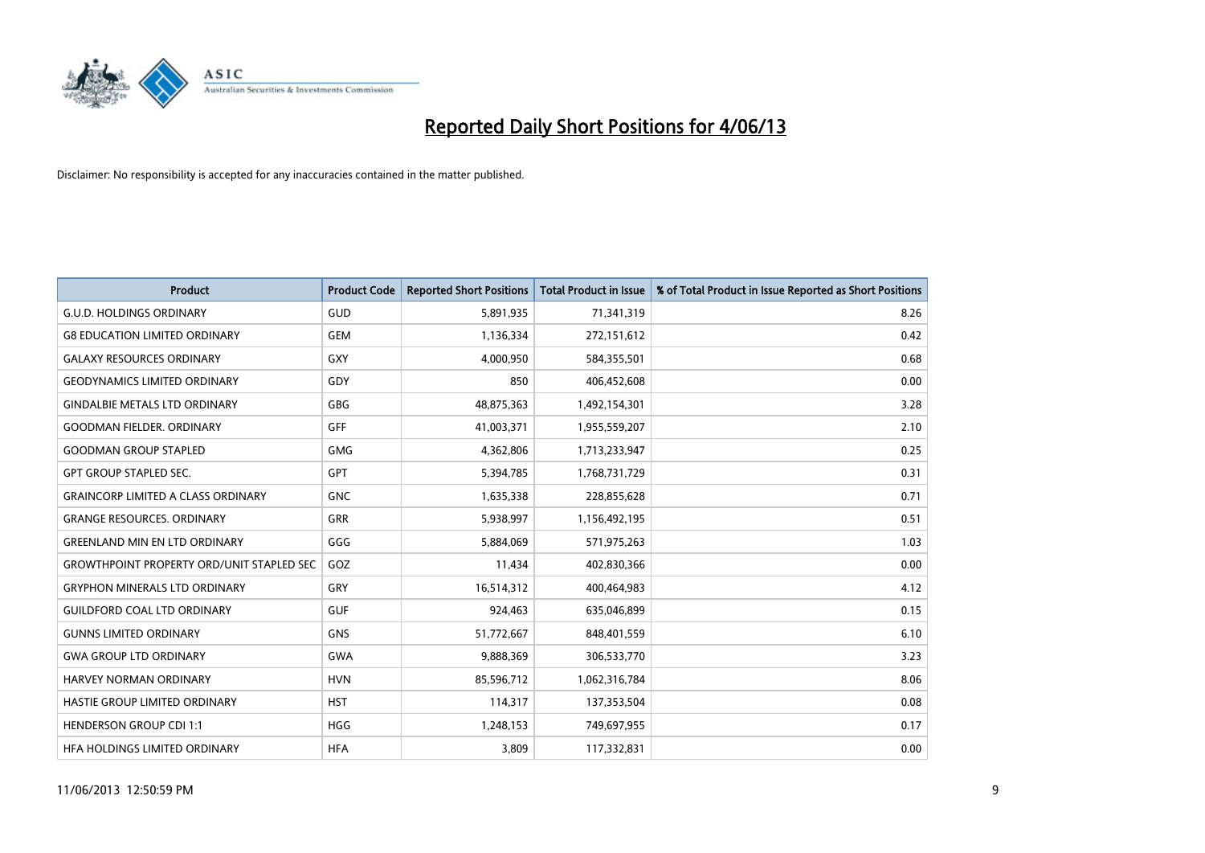

| <b>Product</b>                                   | <b>Product Code</b> | <b>Reported Short Positions</b> | <b>Total Product in Issue</b> | % of Total Product in Issue Reported as Short Positions |
|--------------------------------------------------|---------------------|---------------------------------|-------------------------------|---------------------------------------------------------|
| <b>G.U.D. HOLDINGS ORDINARY</b>                  | GUD                 | 5,891,935                       | 71,341,319                    | 8.26                                                    |
| <b>G8 EDUCATION LIMITED ORDINARY</b>             | <b>GEM</b>          | 1,136,334                       | 272,151,612                   | 0.42                                                    |
| <b>GALAXY RESOURCES ORDINARY</b>                 | <b>GXY</b>          | 4,000,950                       | 584,355,501                   | 0.68                                                    |
| <b>GEODYNAMICS LIMITED ORDINARY</b>              | GDY                 | 850                             | 406,452,608                   | 0.00                                                    |
| <b>GINDALBIE METALS LTD ORDINARY</b>             | GBG                 | 48,875,363                      | 1,492,154,301                 | 3.28                                                    |
| <b>GOODMAN FIELDER, ORDINARY</b>                 | GFF                 | 41,003,371                      | 1,955,559,207                 | 2.10                                                    |
| <b>GOODMAN GROUP STAPLED</b>                     | <b>GMG</b>          | 4,362,806                       | 1,713,233,947                 | 0.25                                                    |
| <b>GPT GROUP STAPLED SEC.</b>                    | <b>GPT</b>          | 5,394,785                       | 1,768,731,729                 | 0.31                                                    |
| <b>GRAINCORP LIMITED A CLASS ORDINARY</b>        | <b>GNC</b>          | 1,635,338                       | 228,855,628                   | 0.71                                                    |
| <b>GRANGE RESOURCES, ORDINARY</b>                | <b>GRR</b>          | 5,938,997                       | 1,156,492,195                 | 0.51                                                    |
| <b>GREENLAND MIN EN LTD ORDINARY</b>             | GGG                 | 5,884,069                       | 571,975,263                   | 1.03                                                    |
| <b>GROWTHPOINT PROPERTY ORD/UNIT STAPLED SEC</b> | GOZ                 | 11,434                          | 402,830,366                   | 0.00                                                    |
| <b>GRYPHON MINERALS LTD ORDINARY</b>             | GRY                 | 16,514,312                      | 400,464,983                   | 4.12                                                    |
| <b>GUILDFORD COAL LTD ORDINARY</b>               | <b>GUF</b>          | 924,463                         | 635,046,899                   | 0.15                                                    |
| <b>GUNNS LIMITED ORDINARY</b>                    | <b>GNS</b>          | 51,772,667                      | 848,401,559                   | 6.10                                                    |
| <b>GWA GROUP LTD ORDINARY</b>                    | <b>GWA</b>          | 9,888,369                       | 306,533,770                   | 3.23                                                    |
| HARVEY NORMAN ORDINARY                           | <b>HVN</b>          | 85,596,712                      | 1,062,316,784                 | 8.06                                                    |
| HASTIE GROUP LIMITED ORDINARY                    | <b>HST</b>          | 114,317                         | 137,353,504                   | 0.08                                                    |
| <b>HENDERSON GROUP CDI 1:1</b>                   | <b>HGG</b>          | 1,248,153                       | 749,697,955                   | 0.17                                                    |
| HEA HOLDINGS LIMITED ORDINARY                    | <b>HFA</b>          | 3,809                           | 117,332,831                   | 0.00                                                    |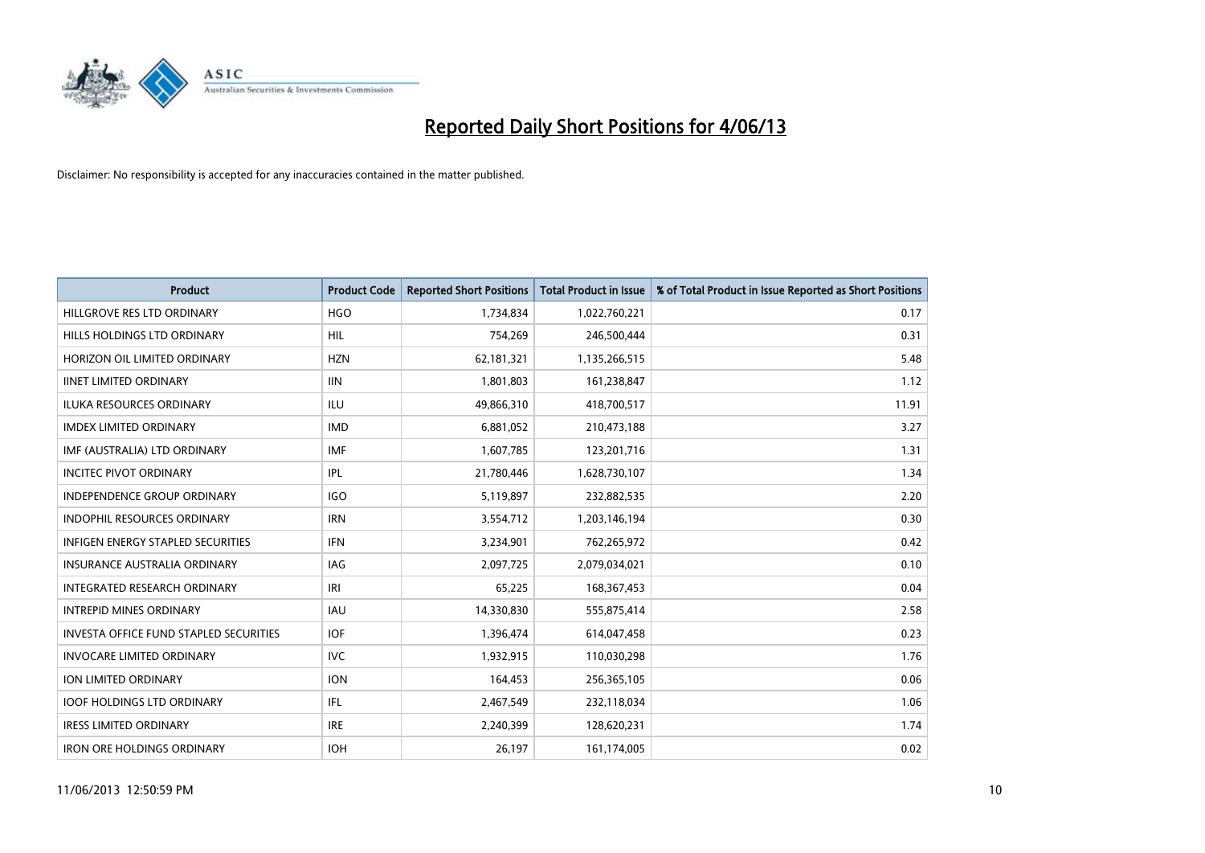

| <b>Product</b>                                | <b>Product Code</b> | <b>Reported Short Positions</b> | <b>Total Product in Issue</b> | % of Total Product in Issue Reported as Short Positions |
|-----------------------------------------------|---------------------|---------------------------------|-------------------------------|---------------------------------------------------------|
| HILLGROVE RES LTD ORDINARY                    | <b>HGO</b>          | 1,734,834                       | 1,022,760,221                 | 0.17                                                    |
| HILLS HOLDINGS LTD ORDINARY                   | <b>HIL</b>          | 754,269                         | 246,500,444                   | 0.31                                                    |
| HORIZON OIL LIMITED ORDINARY                  | <b>HZN</b>          | 62,181,321                      | 1,135,266,515                 | 5.48                                                    |
| <b>IINET LIMITED ORDINARY</b>                 | <b>IIN</b>          | 1,801,803                       | 161,238,847                   | 1.12                                                    |
| <b>ILUKA RESOURCES ORDINARY</b>               | ILU                 | 49,866,310                      | 418,700,517                   | 11.91                                                   |
| <b>IMDEX LIMITED ORDINARY</b>                 | <b>IMD</b>          | 6,881,052                       | 210,473,188                   | 3.27                                                    |
| IMF (AUSTRALIA) LTD ORDINARY                  | <b>IMF</b>          | 1,607,785                       | 123,201,716                   | 1.31                                                    |
| <b>INCITEC PIVOT ORDINARY</b>                 | IPL                 | 21,780,446                      | 1,628,730,107                 | 1.34                                                    |
| INDEPENDENCE GROUP ORDINARY                   | <b>IGO</b>          | 5,119,897                       | 232,882,535                   | 2.20                                                    |
| <b>INDOPHIL RESOURCES ORDINARY</b>            | <b>IRN</b>          | 3,554,712                       | 1,203,146,194                 | 0.30                                                    |
| <b>INFIGEN ENERGY STAPLED SECURITIES</b>      | <b>IFN</b>          | 3,234,901                       | 762,265,972                   | 0.42                                                    |
| <b>INSURANCE AUSTRALIA ORDINARY</b>           | IAG                 | 2,097,725                       | 2,079,034,021                 | 0.10                                                    |
| <b>INTEGRATED RESEARCH ORDINARY</b>           | IRI                 | 65,225                          | 168, 367, 453                 | 0.04                                                    |
| <b>INTREPID MINES ORDINARY</b>                | <b>IAU</b>          | 14,330,830                      | 555,875,414                   | 2.58                                                    |
| <b>INVESTA OFFICE FUND STAPLED SECURITIES</b> | <b>IOF</b>          | 1,396,474                       | 614,047,458                   | 0.23                                                    |
| <b>INVOCARE LIMITED ORDINARY</b>              | <b>IVC</b>          | 1,932,915                       | 110,030,298                   | 1.76                                                    |
| ION LIMITED ORDINARY                          | <b>ION</b>          | 164,453                         | 256,365,105                   | 0.06                                                    |
| <b>IOOF HOLDINGS LTD ORDINARY</b>             | IFL.                | 2,467,549                       | 232,118,034                   | 1.06                                                    |
| <b>IRESS LIMITED ORDINARY</b>                 | <b>IRE</b>          | 2,240,399                       | 128,620,231                   | 1.74                                                    |
| <b>IRON ORE HOLDINGS ORDINARY</b>             | <b>IOH</b>          | 26,197                          | 161,174,005                   | 0.02                                                    |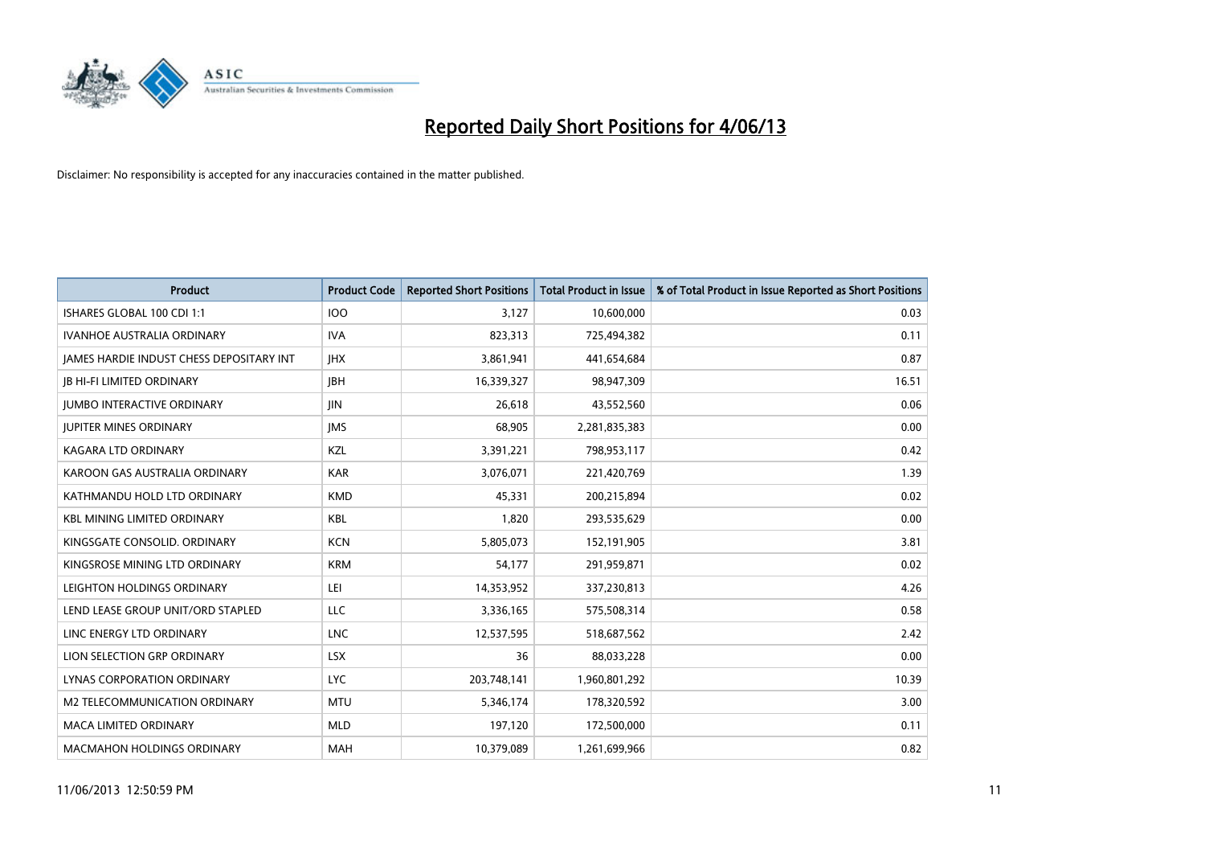

| <b>Product</b>                           | <b>Product Code</b> | <b>Reported Short Positions</b> | <b>Total Product in Issue</b> | % of Total Product in Issue Reported as Short Positions |
|------------------------------------------|---------------------|---------------------------------|-------------------------------|---------------------------------------------------------|
| ISHARES GLOBAL 100 CDI 1:1               | <b>IOO</b>          | 3,127                           | 10,600,000                    | 0.03                                                    |
| <b>IVANHOE AUSTRALIA ORDINARY</b>        | <b>IVA</b>          | 823,313                         | 725,494,382                   | 0.11                                                    |
| JAMES HARDIE INDUST CHESS DEPOSITARY INT | <b>IHX</b>          | 3,861,941                       | 441,654,684                   | 0.87                                                    |
| <b>JB HI-FI LIMITED ORDINARY</b>         | <b>IBH</b>          | 16,339,327                      | 98,947,309                    | 16.51                                                   |
| <b>IUMBO INTERACTIVE ORDINARY</b>        | <b>JIN</b>          | 26,618                          | 43,552,560                    | 0.06                                                    |
| <b>JUPITER MINES ORDINARY</b>            | <b>IMS</b>          | 68,905                          | 2,281,835,383                 | 0.00                                                    |
| <b>KAGARA LTD ORDINARY</b>               | KZL                 | 3,391,221                       | 798,953,117                   | 0.42                                                    |
| KAROON GAS AUSTRALIA ORDINARY            | <b>KAR</b>          | 3,076,071                       | 221,420,769                   | 1.39                                                    |
| KATHMANDU HOLD LTD ORDINARY              | <b>KMD</b>          | 45,331                          | 200,215,894                   | 0.02                                                    |
| <b>KBL MINING LIMITED ORDINARY</b>       | <b>KBL</b>          | 1,820                           | 293,535,629                   | 0.00                                                    |
| KINGSGATE CONSOLID. ORDINARY             | <b>KCN</b>          | 5,805,073                       | 152,191,905                   | 3.81                                                    |
| KINGSROSE MINING LTD ORDINARY            | <b>KRM</b>          | 54,177                          | 291,959,871                   | 0.02                                                    |
| LEIGHTON HOLDINGS ORDINARY               | LEI                 | 14,353,952                      | 337,230,813                   | 4.26                                                    |
| LEND LEASE GROUP UNIT/ORD STAPLED        | LLC                 | 3,336,165                       | 575,508,314                   | 0.58                                                    |
| LINC ENERGY LTD ORDINARY                 | <b>LNC</b>          | 12,537,595                      | 518,687,562                   | 2.42                                                    |
| LION SELECTION GRP ORDINARY              | <b>LSX</b>          | 36                              | 88,033,228                    | 0.00                                                    |
| LYNAS CORPORATION ORDINARY               | <b>LYC</b>          | 203,748,141                     | 1,960,801,292                 | 10.39                                                   |
| M2 TELECOMMUNICATION ORDINARY            | <b>MTU</b>          | 5,346,174                       | 178,320,592                   | 3.00                                                    |
| <b>MACA LIMITED ORDINARY</b>             | <b>MLD</b>          | 197,120                         | 172,500,000                   | 0.11                                                    |
| <b>MACMAHON HOLDINGS ORDINARY</b>        | MAH                 | 10,379,089                      | 1,261,699,966                 | 0.82                                                    |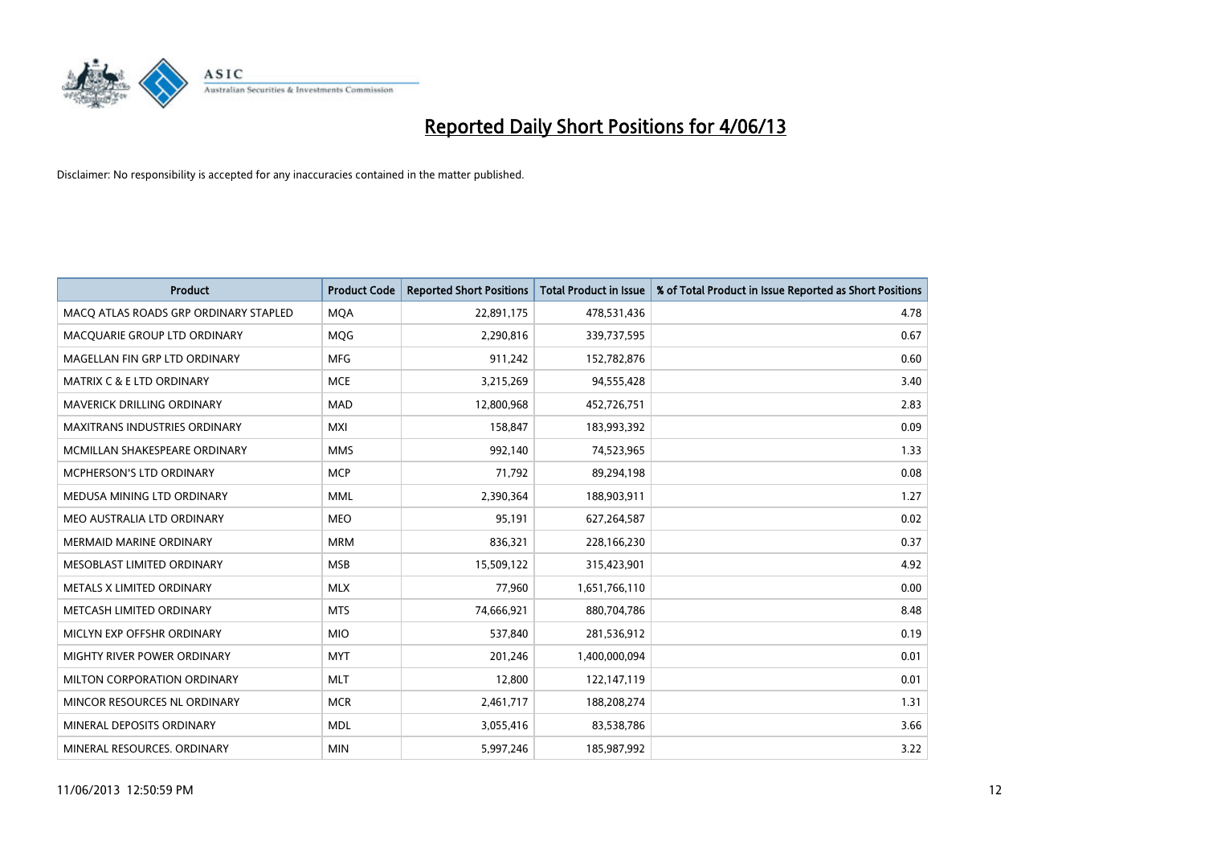

| <b>Product</b>                        | <b>Product Code</b> | <b>Reported Short Positions</b> | <b>Total Product in Issue</b> | % of Total Product in Issue Reported as Short Positions |
|---------------------------------------|---------------------|---------------------------------|-------------------------------|---------------------------------------------------------|
| MACO ATLAS ROADS GRP ORDINARY STAPLED | <b>MQA</b>          | 22,891,175                      | 478,531,436                   | 4.78                                                    |
| MACQUARIE GROUP LTD ORDINARY          | MQG                 | 2,290,816                       | 339,737,595                   | 0.67                                                    |
| MAGELLAN FIN GRP LTD ORDINARY         | <b>MFG</b>          | 911,242                         | 152,782,876                   | 0.60                                                    |
| <b>MATRIX C &amp; E LTD ORDINARY</b>  | <b>MCE</b>          | 3,215,269                       | 94,555,428                    | 3.40                                                    |
| MAVERICK DRILLING ORDINARY            | <b>MAD</b>          | 12,800,968                      | 452,726,751                   | 2.83                                                    |
| <b>MAXITRANS INDUSTRIES ORDINARY</b>  | <b>MXI</b>          | 158,847                         | 183,993,392                   | 0.09                                                    |
| MCMILLAN SHAKESPEARE ORDINARY         | <b>MMS</b>          | 992,140                         | 74,523,965                    | 1.33                                                    |
| MCPHERSON'S LTD ORDINARY              | <b>MCP</b>          | 71,792                          | 89,294,198                    | 0.08                                                    |
| MEDUSA MINING LTD ORDINARY            | <b>MML</b>          | 2,390,364                       | 188,903,911                   | 1.27                                                    |
| MEO AUSTRALIA LTD ORDINARY            | <b>MEO</b>          | 95,191                          | 627,264,587                   | 0.02                                                    |
| <b>MERMAID MARINE ORDINARY</b>        | <b>MRM</b>          | 836,321                         | 228,166,230                   | 0.37                                                    |
| MESOBLAST LIMITED ORDINARY            | <b>MSB</b>          | 15,509,122                      | 315,423,901                   | 4.92                                                    |
| METALS X LIMITED ORDINARY             | <b>MLX</b>          | 77,960                          | 1,651,766,110                 | 0.00                                                    |
| METCASH LIMITED ORDINARY              | <b>MTS</b>          | 74,666,921                      | 880,704,786                   | 8.48                                                    |
| MICLYN EXP OFFSHR ORDINARY            | <b>MIO</b>          | 537,840                         | 281,536,912                   | 0.19                                                    |
| MIGHTY RIVER POWER ORDINARY           | <b>MYT</b>          | 201,246                         | 1,400,000,094                 | 0.01                                                    |
| MILTON CORPORATION ORDINARY           | <b>MLT</b>          | 12,800                          | 122,147,119                   | 0.01                                                    |
| MINCOR RESOURCES NL ORDINARY          | <b>MCR</b>          | 2,461,717                       | 188,208,274                   | 1.31                                                    |
| MINERAL DEPOSITS ORDINARY             | <b>MDL</b>          | 3,055,416                       | 83,538,786                    | 3.66                                                    |
| MINERAL RESOURCES, ORDINARY           | <b>MIN</b>          | 5,997,246                       | 185,987,992                   | 3.22                                                    |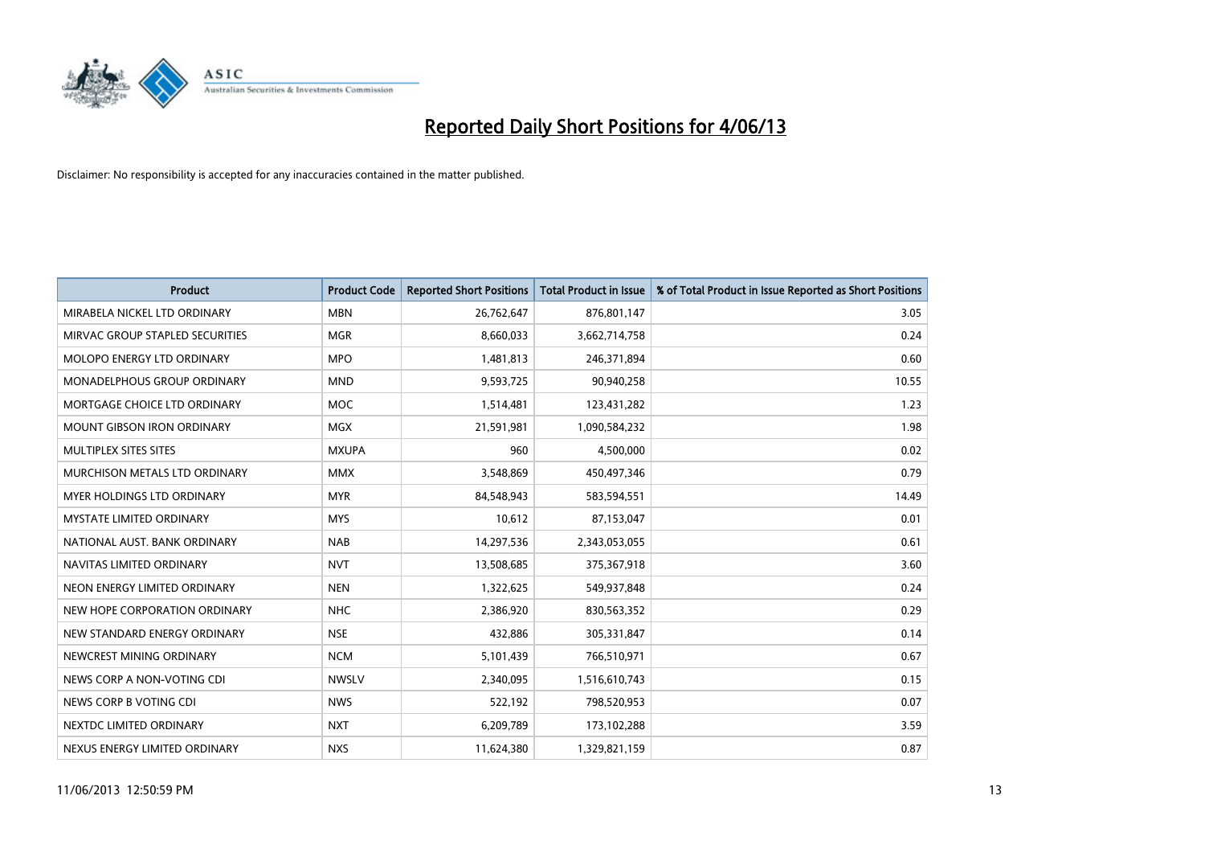

| <b>Product</b>                    | <b>Product Code</b> | <b>Reported Short Positions</b> | <b>Total Product in Issue</b> | % of Total Product in Issue Reported as Short Positions |
|-----------------------------------|---------------------|---------------------------------|-------------------------------|---------------------------------------------------------|
| MIRABELA NICKEL LTD ORDINARY      | <b>MBN</b>          | 26,762,647                      | 876,801,147                   | 3.05                                                    |
| MIRVAC GROUP STAPLED SECURITIES   | MGR                 | 8,660,033                       | 3,662,714,758                 | 0.24                                                    |
| <b>MOLOPO ENERGY LTD ORDINARY</b> | <b>MPO</b>          | 1,481,813                       | 246,371,894                   | 0.60                                                    |
| MONADELPHOUS GROUP ORDINARY       | <b>MND</b>          | 9,593,725                       | 90,940,258                    | 10.55                                                   |
| MORTGAGE CHOICE LTD ORDINARY      | MOC                 | 1,514,481                       | 123,431,282                   | 1.23                                                    |
| <b>MOUNT GIBSON IRON ORDINARY</b> | <b>MGX</b>          | 21,591,981                      | 1,090,584,232                 | 1.98                                                    |
| MULTIPLEX SITES SITES             | <b>MXUPA</b>        | 960                             | 4,500,000                     | 0.02                                                    |
| MURCHISON METALS LTD ORDINARY     | <b>MMX</b>          | 3,548,869                       | 450,497,346                   | 0.79                                                    |
| MYER HOLDINGS LTD ORDINARY        | <b>MYR</b>          | 84,548,943                      | 583,594,551                   | 14.49                                                   |
| <b>MYSTATE LIMITED ORDINARY</b>   | <b>MYS</b>          | 10,612                          | 87,153,047                    | 0.01                                                    |
| NATIONAL AUST. BANK ORDINARY      | <b>NAB</b>          | 14,297,536                      | 2,343,053,055                 | 0.61                                                    |
| NAVITAS LIMITED ORDINARY          | <b>NVT</b>          | 13,508,685                      | 375,367,918                   | 3.60                                                    |
| NEON ENERGY LIMITED ORDINARY      | <b>NEN</b>          | 1,322,625                       | 549,937,848                   | 0.24                                                    |
| NEW HOPE CORPORATION ORDINARY     | <b>NHC</b>          | 2,386,920                       | 830,563,352                   | 0.29                                                    |
| NEW STANDARD ENERGY ORDINARY      | <b>NSE</b>          | 432,886                         | 305,331,847                   | 0.14                                                    |
| NEWCREST MINING ORDINARY          | <b>NCM</b>          | 5,101,439                       | 766,510,971                   | 0.67                                                    |
| NEWS CORP A NON-VOTING CDI        | <b>NWSLV</b>        | 2,340,095                       | 1,516,610,743                 | 0.15                                                    |
| NEWS CORP B VOTING CDI            | <b>NWS</b>          | 522,192                         | 798,520,953                   | 0.07                                                    |
| NEXTDC LIMITED ORDINARY           | <b>NXT</b>          | 6,209,789                       | 173,102,288                   | 3.59                                                    |
| NEXUS ENERGY LIMITED ORDINARY     | <b>NXS</b>          | 11,624,380                      | 1,329,821,159                 | 0.87                                                    |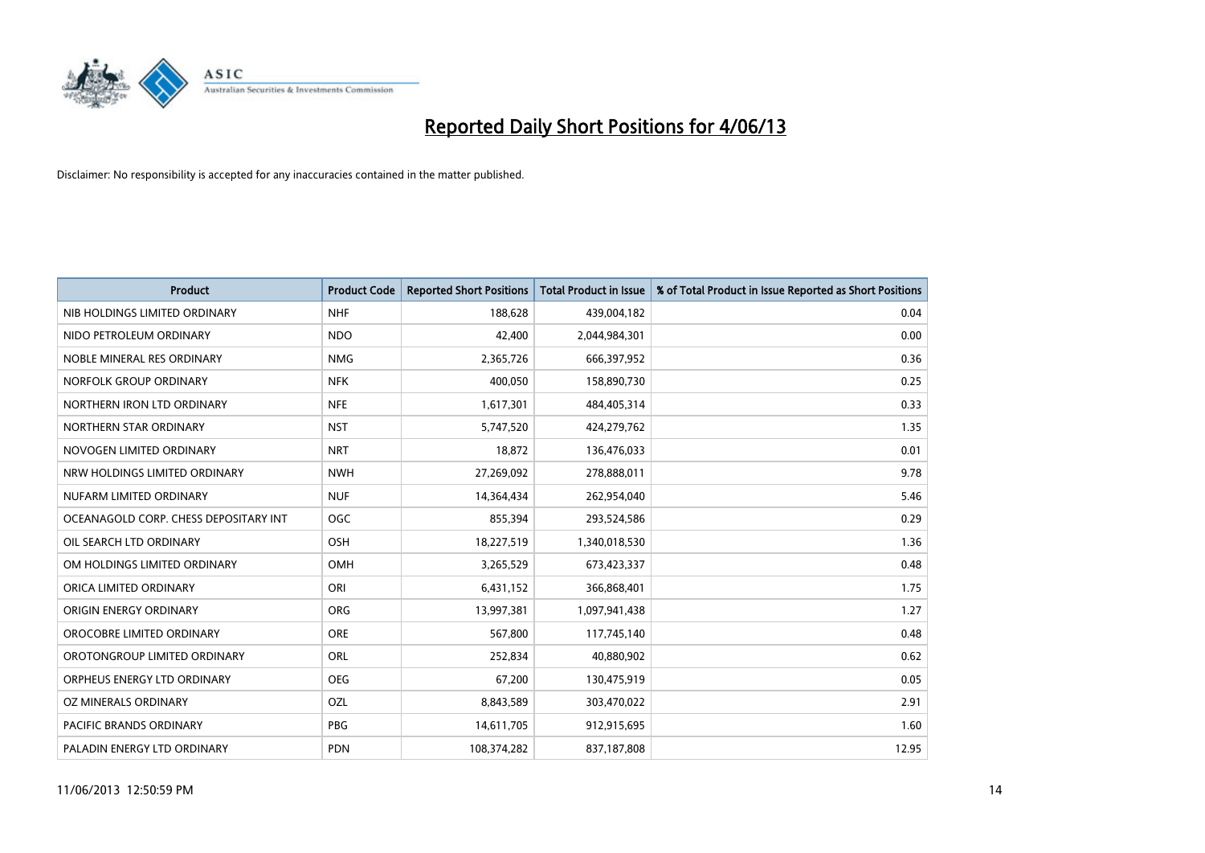

| <b>Product</b>                        | <b>Product Code</b> | <b>Reported Short Positions</b> | <b>Total Product in Issue</b> | % of Total Product in Issue Reported as Short Positions |
|---------------------------------------|---------------------|---------------------------------|-------------------------------|---------------------------------------------------------|
| NIB HOLDINGS LIMITED ORDINARY         | <b>NHF</b>          | 188,628                         | 439,004,182                   | 0.04                                                    |
| NIDO PETROLEUM ORDINARY               | <b>NDO</b>          | 42,400                          | 2,044,984,301                 | 0.00                                                    |
| NOBLE MINERAL RES ORDINARY            | <b>NMG</b>          | 2,365,726                       | 666,397,952                   | 0.36                                                    |
| NORFOLK GROUP ORDINARY                | <b>NFK</b>          | 400,050                         | 158,890,730                   | 0.25                                                    |
| NORTHERN IRON LTD ORDINARY            | <b>NFE</b>          | 1,617,301                       | 484,405,314                   | 0.33                                                    |
| NORTHERN STAR ORDINARY                | <b>NST</b>          | 5,747,520                       | 424,279,762                   | 1.35                                                    |
| NOVOGEN LIMITED ORDINARY              | <b>NRT</b>          | 18,872                          | 136,476,033                   | 0.01                                                    |
| NRW HOLDINGS LIMITED ORDINARY         | <b>NWH</b>          | 27,269,092                      | 278,888,011                   | 9.78                                                    |
| NUFARM LIMITED ORDINARY               | <b>NUF</b>          | 14,364,434                      | 262,954,040                   | 5.46                                                    |
| OCEANAGOLD CORP. CHESS DEPOSITARY INT | OGC                 | 855,394                         | 293,524,586                   | 0.29                                                    |
| OIL SEARCH LTD ORDINARY               | OSH                 | 18,227,519                      | 1,340,018,530                 | 1.36                                                    |
| OM HOLDINGS LIMITED ORDINARY          | OMH                 | 3,265,529                       | 673,423,337                   | 0.48                                                    |
| ORICA LIMITED ORDINARY                | ORI                 | 6,431,152                       | 366,868,401                   | 1.75                                                    |
| ORIGIN ENERGY ORDINARY                | ORG                 | 13,997,381                      | 1,097,941,438                 | 1.27                                                    |
| OROCOBRE LIMITED ORDINARY             | <b>ORE</b>          | 567,800                         | 117,745,140                   | 0.48                                                    |
| OROTONGROUP LIMITED ORDINARY          | ORL                 | 252,834                         | 40,880,902                    | 0.62                                                    |
| ORPHEUS ENERGY LTD ORDINARY           | <b>OEG</b>          | 67,200                          | 130,475,919                   | 0.05                                                    |
| OZ MINERALS ORDINARY                  | OZL                 | 8,843,589                       | 303,470,022                   | 2.91                                                    |
| <b>PACIFIC BRANDS ORDINARY</b>        | <b>PBG</b>          | 14,611,705                      | 912,915,695                   | 1.60                                                    |
| PALADIN ENERGY LTD ORDINARY           | <b>PDN</b>          | 108,374,282                     | 837,187,808                   | 12.95                                                   |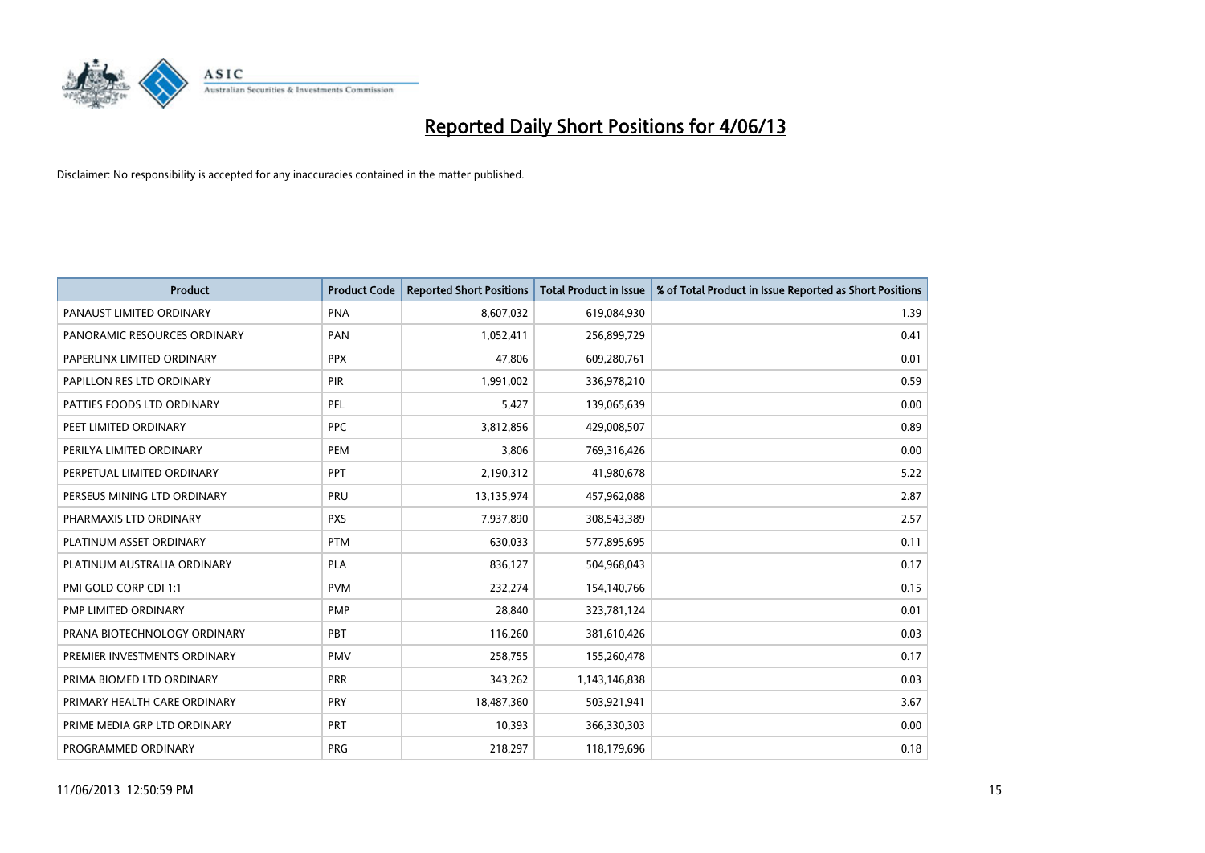

| <b>Product</b>               | <b>Product Code</b> | <b>Reported Short Positions</b> | <b>Total Product in Issue</b> | % of Total Product in Issue Reported as Short Positions |
|------------------------------|---------------------|---------------------------------|-------------------------------|---------------------------------------------------------|
| PANAUST LIMITED ORDINARY     | <b>PNA</b>          | 8,607,032                       | 619,084,930                   | 1.39                                                    |
| PANORAMIC RESOURCES ORDINARY | <b>PAN</b>          | 1,052,411                       | 256,899,729                   | 0.41                                                    |
| PAPERLINX LIMITED ORDINARY   | <b>PPX</b>          | 47,806                          | 609,280,761                   | 0.01                                                    |
| PAPILLON RES LTD ORDINARY    | <b>PIR</b>          | 1,991,002                       | 336,978,210                   | 0.59                                                    |
| PATTIES FOODS LTD ORDINARY   | PFL                 | 5,427                           | 139,065,639                   | 0.00                                                    |
| PEET LIMITED ORDINARY        | <b>PPC</b>          | 3,812,856                       | 429,008,507                   | 0.89                                                    |
| PERILYA LIMITED ORDINARY     | PEM                 | 3,806                           | 769,316,426                   | 0.00                                                    |
| PERPETUAL LIMITED ORDINARY   | PPT                 | 2,190,312                       | 41,980,678                    | 5.22                                                    |
| PERSEUS MINING LTD ORDINARY  | PRU                 | 13,135,974                      | 457,962,088                   | 2.87                                                    |
| PHARMAXIS LTD ORDINARY       | <b>PXS</b>          | 7,937,890                       | 308,543,389                   | 2.57                                                    |
| PLATINUM ASSET ORDINARY      | <b>PTM</b>          | 630,033                         | 577,895,695                   | 0.11                                                    |
| PLATINUM AUSTRALIA ORDINARY  | <b>PLA</b>          | 836,127                         | 504,968,043                   | 0.17                                                    |
| PMI GOLD CORP CDI 1:1        | <b>PVM</b>          | 232,274                         | 154,140,766                   | 0.15                                                    |
| PMP LIMITED ORDINARY         | <b>PMP</b>          | 28,840                          | 323,781,124                   | 0.01                                                    |
| PRANA BIOTECHNOLOGY ORDINARY | PBT                 | 116,260                         | 381,610,426                   | 0.03                                                    |
| PREMIER INVESTMENTS ORDINARY | <b>PMV</b>          | 258,755                         | 155,260,478                   | 0.17                                                    |
| PRIMA BIOMED LTD ORDINARY    | <b>PRR</b>          | 343,262                         | 1,143,146,838                 | 0.03                                                    |
| PRIMARY HEALTH CARE ORDINARY | PRY                 | 18,487,360                      | 503,921,941                   | 3.67                                                    |
| PRIME MEDIA GRP LTD ORDINARY | <b>PRT</b>          | 10,393                          | 366,330,303                   | 0.00                                                    |
| PROGRAMMED ORDINARY          | <b>PRG</b>          | 218,297                         | 118,179,696                   | 0.18                                                    |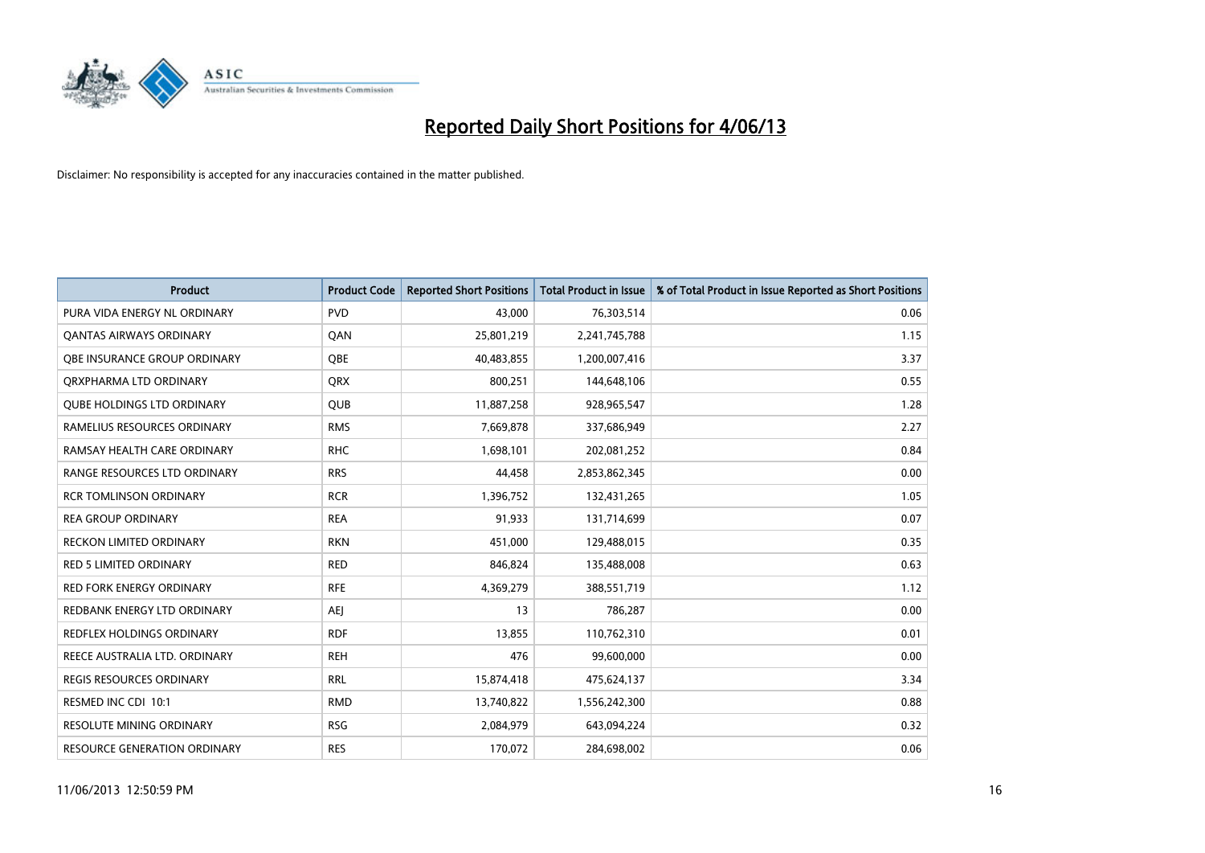

| <b>Product</b>                      | <b>Product Code</b> | <b>Reported Short Positions</b> | <b>Total Product in Issue</b> | % of Total Product in Issue Reported as Short Positions |
|-------------------------------------|---------------------|---------------------------------|-------------------------------|---------------------------------------------------------|
| PURA VIDA ENERGY NL ORDINARY        | <b>PVD</b>          | 43,000                          | 76,303,514                    | 0.06                                                    |
| <b>QANTAS AIRWAYS ORDINARY</b>      | QAN                 | 25,801,219                      | 2,241,745,788                 | 1.15                                                    |
| <b>OBE INSURANCE GROUP ORDINARY</b> | <b>OBE</b>          | 40,483,855                      | 1,200,007,416                 | 3.37                                                    |
| ORXPHARMA LTD ORDINARY              | QRX                 | 800,251                         | 144,648,106                   | 0.55                                                    |
| <b>QUBE HOLDINGS LTD ORDINARY</b>   | <b>QUB</b>          | 11,887,258                      | 928,965,547                   | 1.28                                                    |
| RAMELIUS RESOURCES ORDINARY         | <b>RMS</b>          | 7,669,878                       | 337,686,949                   | 2.27                                                    |
| RAMSAY HEALTH CARE ORDINARY         | <b>RHC</b>          | 1,698,101                       | 202,081,252                   | 0.84                                                    |
| RANGE RESOURCES LTD ORDINARY        | <b>RRS</b>          | 44,458                          | 2,853,862,345                 | 0.00                                                    |
| <b>RCR TOMLINSON ORDINARY</b>       | <b>RCR</b>          | 1,396,752                       | 132,431,265                   | 1.05                                                    |
| <b>REA GROUP ORDINARY</b>           | <b>REA</b>          | 91,933                          | 131,714,699                   | 0.07                                                    |
| RECKON LIMITED ORDINARY             | <b>RKN</b>          | 451,000                         | 129,488,015                   | 0.35                                                    |
| <b>RED 5 LIMITED ORDINARY</b>       | <b>RED</b>          | 846,824                         | 135,488,008                   | 0.63                                                    |
| RED FORK ENERGY ORDINARY            | <b>RFE</b>          | 4,369,279                       | 388,551,719                   | 1.12                                                    |
| REDBANK ENERGY LTD ORDINARY         | <b>AEJ</b>          | 13                              | 786,287                       | 0.00                                                    |
| <b>REDFLEX HOLDINGS ORDINARY</b>    | <b>RDF</b>          | 13,855                          | 110,762,310                   | 0.01                                                    |
| REECE AUSTRALIA LTD. ORDINARY       | <b>REH</b>          | 476                             | 99,600,000                    | 0.00                                                    |
| <b>REGIS RESOURCES ORDINARY</b>     | <b>RRL</b>          | 15,874,418                      | 475,624,137                   | 3.34                                                    |
| RESMED INC CDI 10:1                 | <b>RMD</b>          | 13,740,822                      | 1,556,242,300                 | 0.88                                                    |
| <b>RESOLUTE MINING ORDINARY</b>     | <b>RSG</b>          | 2,084,979                       | 643,094,224                   | 0.32                                                    |
| RESOURCE GENERATION ORDINARY        | <b>RES</b>          | 170,072                         | 284,698,002                   | 0.06                                                    |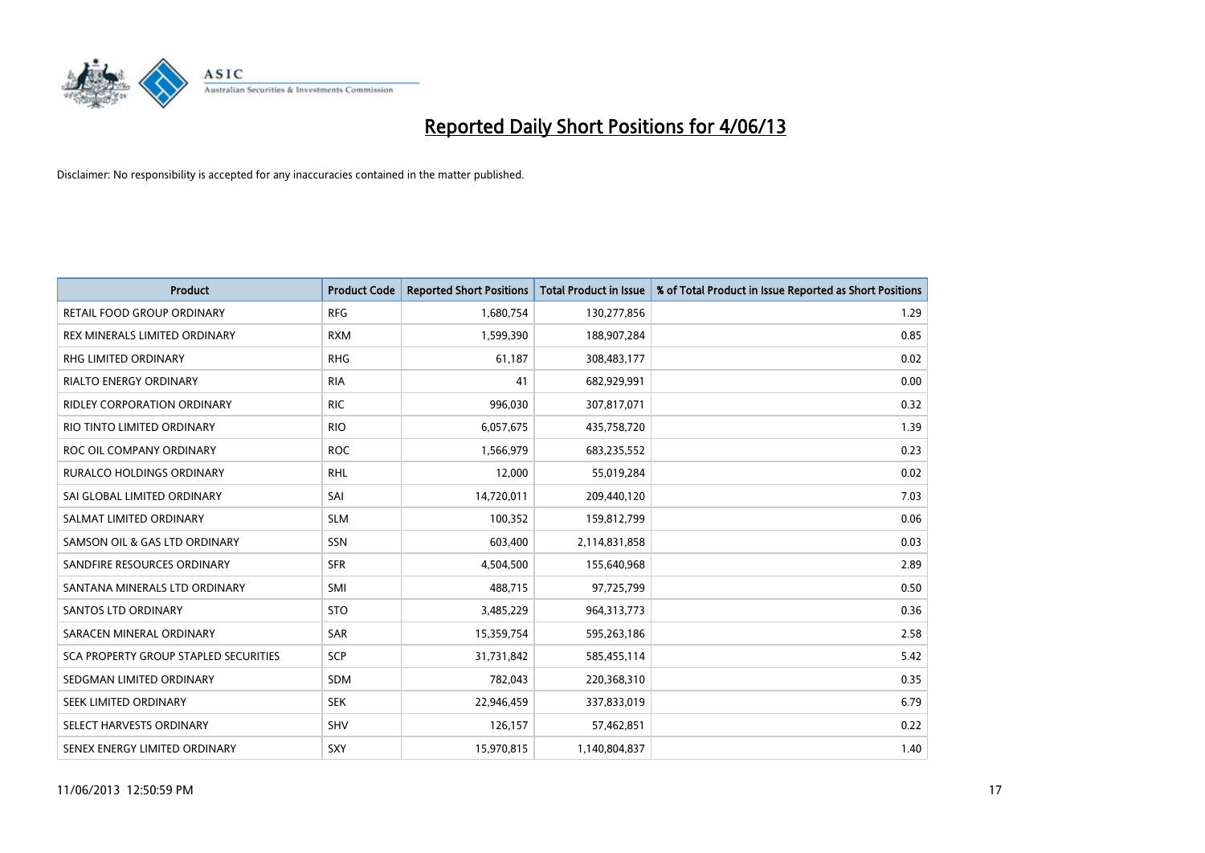

| <b>Product</b>                        | <b>Product Code</b> | <b>Reported Short Positions</b> | <b>Total Product in Issue</b> | % of Total Product in Issue Reported as Short Positions |
|---------------------------------------|---------------------|---------------------------------|-------------------------------|---------------------------------------------------------|
| <b>RETAIL FOOD GROUP ORDINARY</b>     | <b>RFG</b>          | 1,680,754                       | 130,277,856                   | 1.29                                                    |
| REX MINERALS LIMITED ORDINARY         | <b>RXM</b>          | 1,599,390                       | 188,907,284                   | 0.85                                                    |
| RHG LIMITED ORDINARY                  | <b>RHG</b>          | 61,187                          | 308,483,177                   | 0.02                                                    |
| <b>RIALTO ENERGY ORDINARY</b>         | <b>RIA</b>          | 41                              | 682,929,991                   | 0.00                                                    |
| <b>RIDLEY CORPORATION ORDINARY</b>    | <b>RIC</b>          | 996,030                         | 307,817,071                   | 0.32                                                    |
| RIO TINTO LIMITED ORDINARY            | <b>RIO</b>          | 6,057,675                       | 435,758,720                   | 1.39                                                    |
| ROC OIL COMPANY ORDINARY              | <b>ROC</b>          | 1,566,979                       | 683,235,552                   | 0.23                                                    |
| RURALCO HOLDINGS ORDINARY             | <b>RHL</b>          | 12,000                          | 55,019,284                    | 0.02                                                    |
| SAI GLOBAL LIMITED ORDINARY           | SAI                 | 14,720,011                      | 209,440,120                   | 7.03                                                    |
| SALMAT LIMITED ORDINARY               | <b>SLM</b>          | 100,352                         | 159,812,799                   | 0.06                                                    |
| SAMSON OIL & GAS LTD ORDINARY         | SSN                 | 603,400                         | 2,114,831,858                 | 0.03                                                    |
| SANDFIRE RESOURCES ORDINARY           | <b>SFR</b>          | 4,504,500                       | 155,640,968                   | 2.89                                                    |
| SANTANA MINERALS LTD ORDINARY         | SMI                 | 488,715                         | 97,725,799                    | 0.50                                                    |
| SANTOS LTD ORDINARY                   | <b>STO</b>          | 3,485,229                       | 964,313,773                   | 0.36                                                    |
| SARACEN MINERAL ORDINARY              | <b>SAR</b>          | 15,359,754                      | 595,263,186                   | 2.58                                                    |
| SCA PROPERTY GROUP STAPLED SECURITIES | SCP                 | 31,731,842                      | 585,455,114                   | 5.42                                                    |
| SEDGMAN LIMITED ORDINARY              | SDM                 | 782,043                         | 220,368,310                   | 0.35                                                    |
| SEEK LIMITED ORDINARY                 | <b>SEK</b>          | 22,946,459                      | 337,833,019                   | 6.79                                                    |
| SELECT HARVESTS ORDINARY              | SHV                 | 126,157                         | 57,462,851                    | 0.22                                                    |
| SENEX ENERGY LIMITED ORDINARY         | SXY                 | 15,970,815                      | 1,140,804,837                 | 1.40                                                    |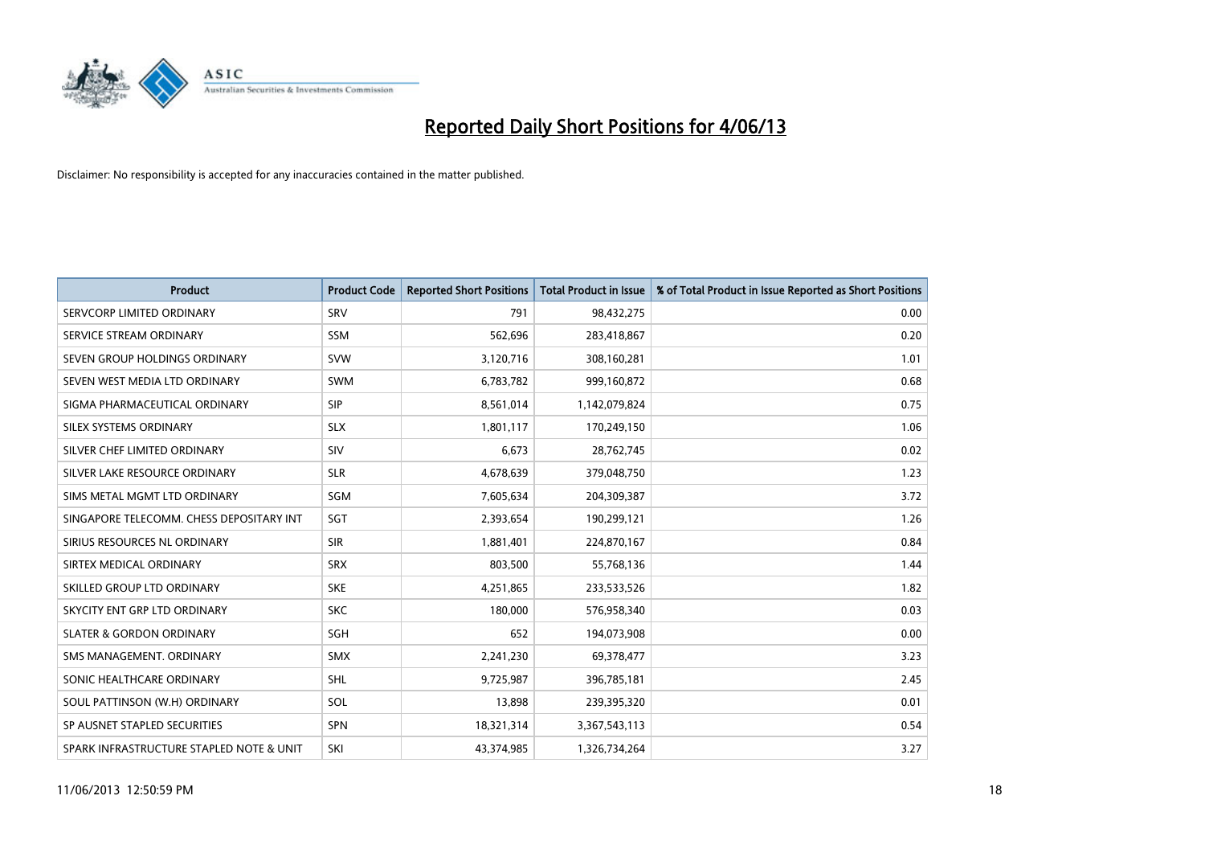

| <b>Product</b>                           | <b>Product Code</b> | <b>Reported Short Positions</b> | <b>Total Product in Issue</b> | % of Total Product in Issue Reported as Short Positions |
|------------------------------------------|---------------------|---------------------------------|-------------------------------|---------------------------------------------------------|
| SERVCORP LIMITED ORDINARY                | SRV                 | 791                             | 98,432,275                    | 0.00                                                    |
| SERVICE STREAM ORDINARY                  | SSM                 | 562,696                         | 283,418,867                   | 0.20                                                    |
| SEVEN GROUP HOLDINGS ORDINARY            | <b>SVW</b>          | 3,120,716                       | 308,160,281                   | 1.01                                                    |
| SEVEN WEST MEDIA LTD ORDINARY            | <b>SWM</b>          | 6,783,782                       | 999,160,872                   | 0.68                                                    |
| SIGMA PHARMACEUTICAL ORDINARY            | <b>SIP</b>          | 8,561,014                       | 1,142,079,824                 | 0.75                                                    |
| SILEX SYSTEMS ORDINARY                   | <b>SLX</b>          | 1,801,117                       | 170,249,150                   | 1.06                                                    |
| SILVER CHEF LIMITED ORDINARY             | <b>SIV</b>          | 6,673                           | 28,762,745                    | 0.02                                                    |
| SILVER LAKE RESOURCE ORDINARY            | <b>SLR</b>          | 4,678,639                       | 379,048,750                   | 1.23                                                    |
| SIMS METAL MGMT LTD ORDINARY             | <b>SGM</b>          | 7,605,634                       | 204,309,387                   | 3.72                                                    |
| SINGAPORE TELECOMM. CHESS DEPOSITARY INT | SGT                 | 2,393,654                       | 190,299,121                   | 1.26                                                    |
| SIRIUS RESOURCES NL ORDINARY             | <b>SIR</b>          | 1,881,401                       | 224,870,167                   | 0.84                                                    |
| SIRTEX MEDICAL ORDINARY                  | <b>SRX</b>          | 803,500                         | 55,768,136                    | 1.44                                                    |
| SKILLED GROUP LTD ORDINARY               | <b>SKE</b>          | 4,251,865                       | 233,533,526                   | 1.82                                                    |
| SKYCITY ENT GRP LTD ORDINARY             | <b>SKC</b>          | 180,000                         | 576,958,340                   | 0.03                                                    |
| <b>SLATER &amp; GORDON ORDINARY</b>      | SGH                 | 652                             | 194,073,908                   | 0.00                                                    |
| SMS MANAGEMENT. ORDINARY                 | <b>SMX</b>          | 2,241,230                       | 69,378,477                    | 3.23                                                    |
| SONIC HEALTHCARE ORDINARY                | <b>SHL</b>          | 9,725,987                       | 396,785,181                   | 2.45                                                    |
| SOUL PATTINSON (W.H) ORDINARY            | SOL                 | 13,898                          | 239,395,320                   | 0.01                                                    |
| SP AUSNET STAPLED SECURITIES             | <b>SPN</b>          | 18,321,314                      | 3,367,543,113                 | 0.54                                                    |
| SPARK INFRASTRUCTURE STAPLED NOTE & UNIT | SKI                 | 43,374,985                      | 1,326,734,264                 | 3.27                                                    |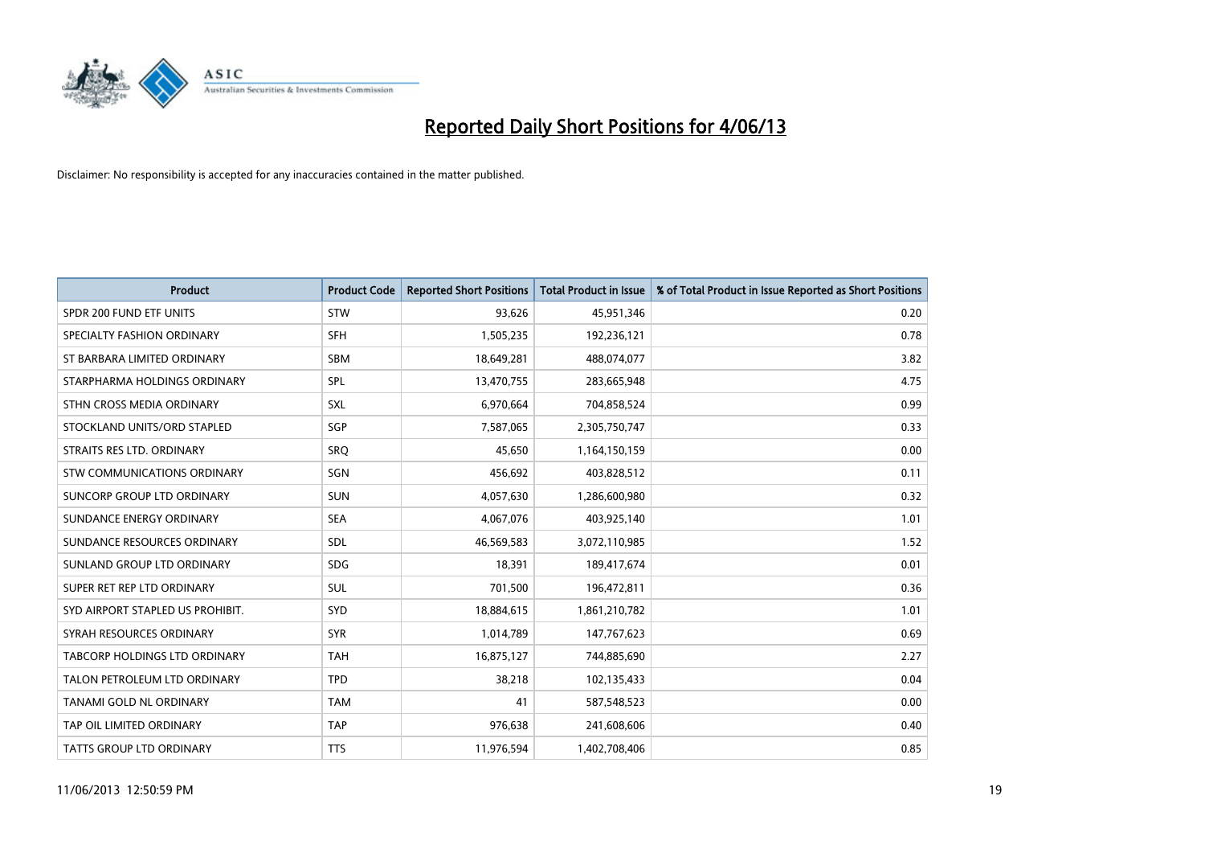

| <b>Product</b>                   | <b>Product Code</b> | <b>Reported Short Positions</b> | <b>Total Product in Issue</b> | % of Total Product in Issue Reported as Short Positions |
|----------------------------------|---------------------|---------------------------------|-------------------------------|---------------------------------------------------------|
| SPDR 200 FUND ETF UNITS          | <b>STW</b>          | 93,626                          | 45,951,346                    | 0.20                                                    |
| SPECIALTY FASHION ORDINARY       | <b>SFH</b>          | 1,505,235                       | 192,236,121                   | 0.78                                                    |
| ST BARBARA LIMITED ORDINARY      | <b>SBM</b>          | 18,649,281                      | 488,074,077                   | 3.82                                                    |
| STARPHARMA HOLDINGS ORDINARY     | SPL                 | 13,470,755                      | 283,665,948                   | 4.75                                                    |
| STHN CROSS MEDIA ORDINARY        | SXL                 | 6,970,664                       | 704,858,524                   | 0.99                                                    |
| STOCKLAND UNITS/ORD STAPLED      | SGP                 | 7,587,065                       | 2,305,750,747                 | 0.33                                                    |
| STRAITS RES LTD. ORDINARY        | <b>SRQ</b>          | 45,650                          | 1,164,150,159                 | 0.00                                                    |
| STW COMMUNICATIONS ORDINARY      | SGN                 | 456,692                         | 403,828,512                   | 0.11                                                    |
| SUNCORP GROUP LTD ORDINARY       | <b>SUN</b>          | 4,057,630                       | 1,286,600,980                 | 0.32                                                    |
| SUNDANCE ENERGY ORDINARY         | <b>SEA</b>          | 4,067,076                       | 403,925,140                   | 1.01                                                    |
| SUNDANCE RESOURCES ORDINARY      | SDL                 | 46,569,583                      | 3,072,110,985                 | 1.52                                                    |
| SUNLAND GROUP LTD ORDINARY       | <b>SDG</b>          | 18,391                          | 189,417,674                   | 0.01                                                    |
| SUPER RET REP LTD ORDINARY       | <b>SUL</b>          | 701,500                         | 196,472,811                   | 0.36                                                    |
| SYD AIRPORT STAPLED US PROHIBIT. | <b>SYD</b>          | 18,884,615                      | 1,861,210,782                 | 1.01                                                    |
| SYRAH RESOURCES ORDINARY         | <b>SYR</b>          | 1,014,789                       | 147,767,623                   | 0.69                                                    |
| TABCORP HOLDINGS LTD ORDINARY    | <b>TAH</b>          | 16,875,127                      | 744,885,690                   | 2.27                                                    |
| TALON PETROLEUM LTD ORDINARY     | <b>TPD</b>          | 38,218                          | 102,135,433                   | 0.04                                                    |
| <b>TANAMI GOLD NL ORDINARY</b>   | <b>TAM</b>          | 41                              | 587,548,523                   | 0.00                                                    |
| TAP OIL LIMITED ORDINARY         | <b>TAP</b>          | 976,638                         | 241,608,606                   | 0.40                                                    |
| TATTS GROUP LTD ORDINARY         | <b>TTS</b>          | 11,976,594                      | 1,402,708,406                 | 0.85                                                    |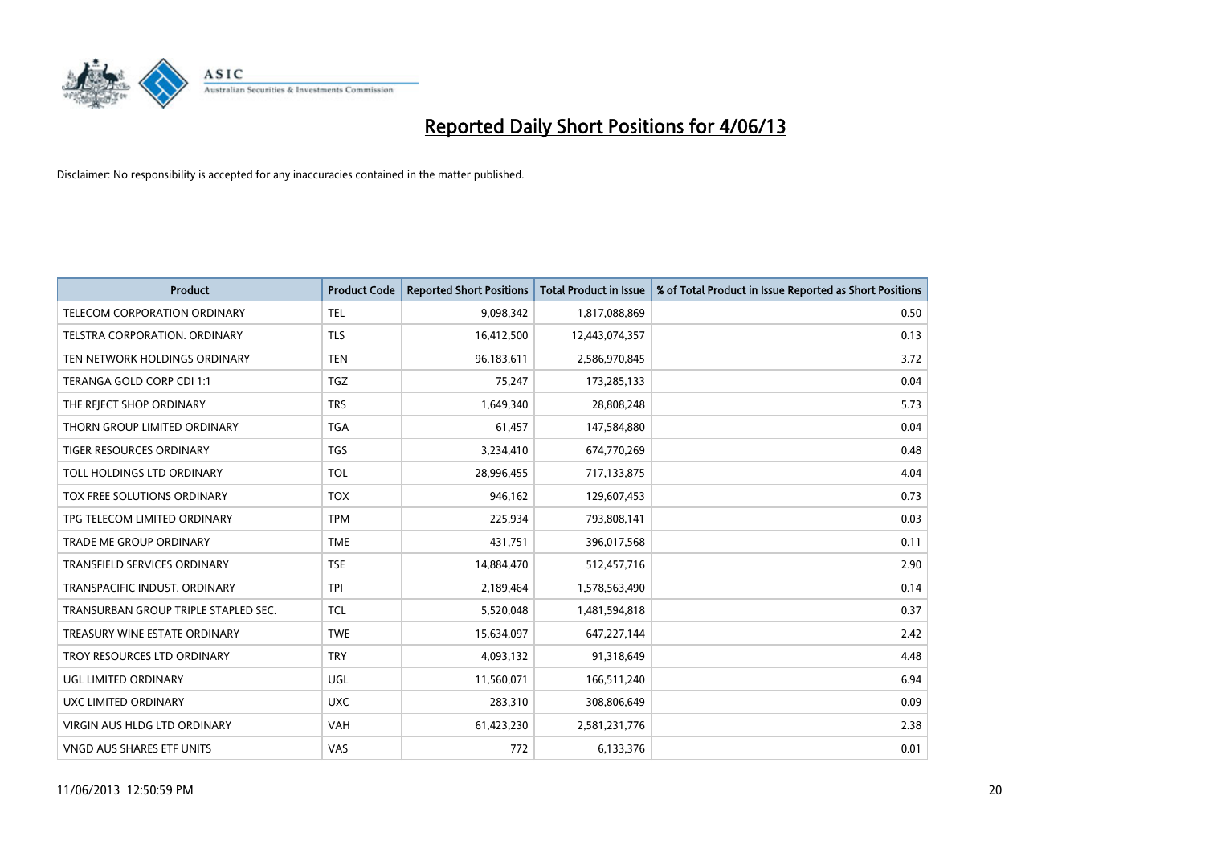

| <b>Product</b>                       | <b>Product Code</b> | <b>Reported Short Positions</b> | <b>Total Product in Issue</b> | % of Total Product in Issue Reported as Short Positions |
|--------------------------------------|---------------------|---------------------------------|-------------------------------|---------------------------------------------------------|
| <b>TELECOM CORPORATION ORDINARY</b>  | <b>TEL</b>          | 9,098,342                       | 1,817,088,869                 | 0.50                                                    |
| TELSTRA CORPORATION, ORDINARY        | <b>TLS</b>          | 16,412,500                      | 12,443,074,357                | 0.13                                                    |
| TEN NETWORK HOLDINGS ORDINARY        | <b>TEN</b>          | 96,183,611                      | 2,586,970,845                 | 3.72                                                    |
| TERANGA GOLD CORP CDI 1:1            | <b>TGZ</b>          | 75,247                          | 173,285,133                   | 0.04                                                    |
| THE REJECT SHOP ORDINARY             | <b>TRS</b>          | 1,649,340                       | 28,808,248                    | 5.73                                                    |
| THORN GROUP LIMITED ORDINARY         | <b>TGA</b>          | 61,457                          | 147,584,880                   | 0.04                                                    |
| TIGER RESOURCES ORDINARY             | <b>TGS</b>          | 3,234,410                       | 674,770,269                   | 0.48                                                    |
| TOLL HOLDINGS LTD ORDINARY           | <b>TOL</b>          | 28,996,455                      | 717,133,875                   | 4.04                                                    |
| TOX FREE SOLUTIONS ORDINARY          | <b>TOX</b>          | 946,162                         | 129,607,453                   | 0.73                                                    |
| TPG TELECOM LIMITED ORDINARY         | <b>TPM</b>          | 225,934                         | 793,808,141                   | 0.03                                                    |
| TRADE ME GROUP ORDINARY              | <b>TME</b>          | 431,751                         | 396,017,568                   | 0.11                                                    |
| TRANSFIELD SERVICES ORDINARY         | <b>TSE</b>          | 14,884,470                      | 512,457,716                   | 2.90                                                    |
| TRANSPACIFIC INDUST, ORDINARY        | <b>TPI</b>          | 2,189,464                       | 1,578,563,490                 | 0.14                                                    |
| TRANSURBAN GROUP TRIPLE STAPLED SEC. | <b>TCL</b>          | 5,520,048                       | 1,481,594,818                 | 0.37                                                    |
| TREASURY WINE ESTATE ORDINARY        | <b>TWE</b>          | 15,634,097                      | 647,227,144                   | 2.42                                                    |
| TROY RESOURCES LTD ORDINARY          | <b>TRY</b>          | 4,093,132                       | 91,318,649                    | 4.48                                                    |
| UGL LIMITED ORDINARY                 | UGL                 | 11,560,071                      | 166,511,240                   | 6.94                                                    |
| UXC LIMITED ORDINARY                 | <b>UXC</b>          | 283,310                         | 308,806,649                   | 0.09                                                    |
| VIRGIN AUS HLDG LTD ORDINARY         | <b>VAH</b>          | 61,423,230                      | 2,581,231,776                 | 2.38                                                    |
| VNGD AUS SHARES ETF UNITS            | VAS                 | 772                             | 6,133,376                     | 0.01                                                    |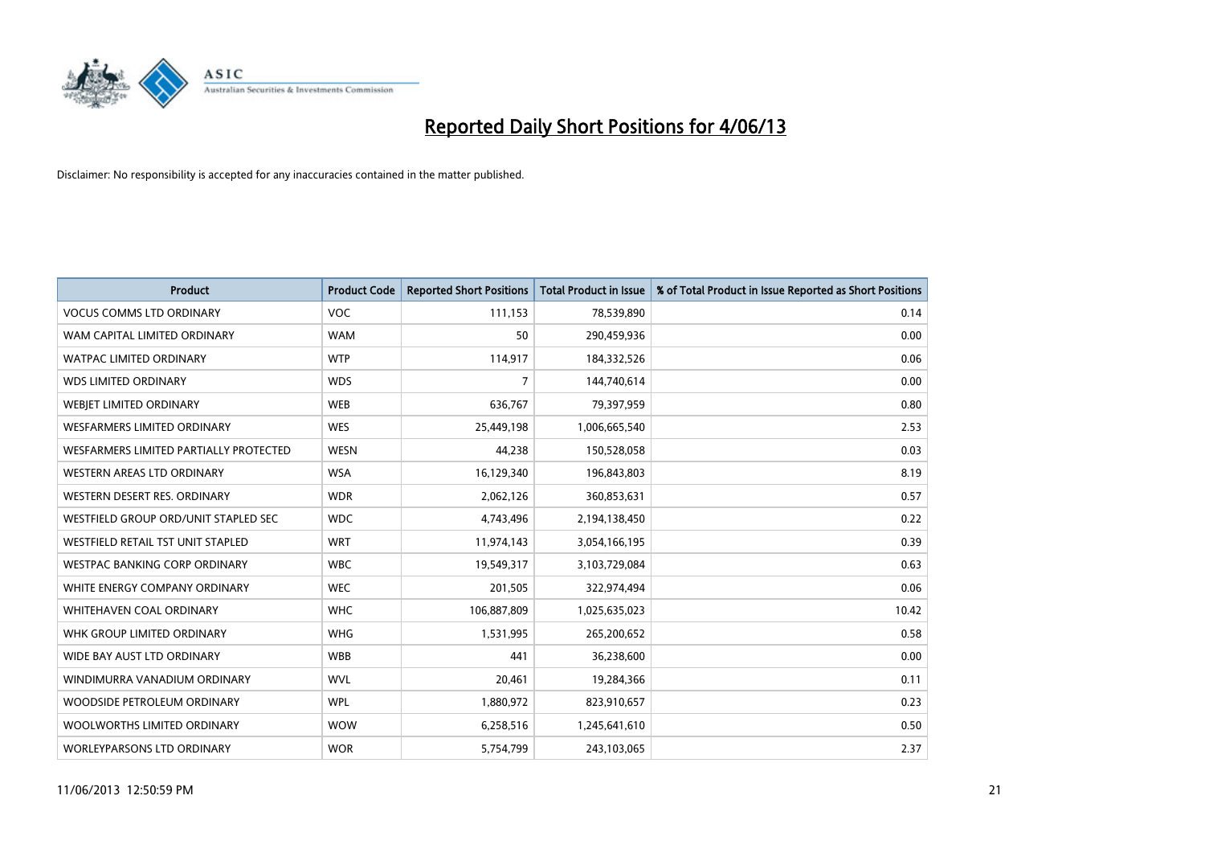

| <b>Product</b>                         | <b>Product Code</b> | <b>Reported Short Positions</b> | <b>Total Product in Issue</b> | % of Total Product in Issue Reported as Short Positions |
|----------------------------------------|---------------------|---------------------------------|-------------------------------|---------------------------------------------------------|
| <b>VOCUS COMMS LTD ORDINARY</b>        | <b>VOC</b>          | 111,153                         | 78,539,890                    | 0.14                                                    |
| WAM CAPITAL LIMITED ORDINARY           | <b>WAM</b>          | 50                              | 290,459,936                   | 0.00                                                    |
| WATPAC LIMITED ORDINARY                | <b>WTP</b>          | 114,917                         | 184,332,526                   | 0.06                                                    |
| <b>WDS LIMITED ORDINARY</b>            | <b>WDS</b>          | 7                               | 144,740,614                   | 0.00                                                    |
| WEBJET LIMITED ORDINARY                | <b>WEB</b>          | 636,767                         | 79,397,959                    | 0.80                                                    |
| <b>WESFARMERS LIMITED ORDINARY</b>     | <b>WES</b>          | 25,449,198                      | 1,006,665,540                 | 2.53                                                    |
| WESFARMERS LIMITED PARTIALLY PROTECTED | <b>WESN</b>         | 44,238                          | 150,528,058                   | 0.03                                                    |
| WESTERN AREAS LTD ORDINARY             | <b>WSA</b>          | 16,129,340                      | 196,843,803                   | 8.19                                                    |
| WESTERN DESERT RES. ORDINARY           | <b>WDR</b>          | 2,062,126                       | 360,853,631                   | 0.57                                                    |
| WESTFIELD GROUP ORD/UNIT STAPLED SEC   | <b>WDC</b>          | 4,743,496                       | 2,194,138,450                 | 0.22                                                    |
| WESTFIELD RETAIL TST UNIT STAPLED      | <b>WRT</b>          | 11,974,143                      | 3,054,166,195                 | 0.39                                                    |
| <b>WESTPAC BANKING CORP ORDINARY</b>   | <b>WBC</b>          | 19,549,317                      | 3,103,729,084                 | 0.63                                                    |
| WHITE ENERGY COMPANY ORDINARY          | <b>WEC</b>          | 201,505                         | 322,974,494                   | 0.06                                                    |
| WHITEHAVEN COAL ORDINARY               | <b>WHC</b>          | 106,887,809                     | 1,025,635,023                 | 10.42                                                   |
| WHK GROUP LIMITED ORDINARY             | <b>WHG</b>          | 1,531,995                       | 265,200,652                   | 0.58                                                    |
| WIDE BAY AUST LTD ORDINARY             | <b>WBB</b>          | 441                             | 36,238,600                    | 0.00                                                    |
| WINDIMURRA VANADIUM ORDINARY           | <b>WVL</b>          | 20,461                          | 19,284,366                    | 0.11                                                    |
| WOODSIDE PETROLEUM ORDINARY            | <b>WPL</b>          | 1,880,972                       | 823,910,657                   | 0.23                                                    |
| WOOLWORTHS LIMITED ORDINARY            | <b>WOW</b>          | 6,258,516                       | 1,245,641,610                 | 0.50                                                    |
| WORLEYPARSONS LTD ORDINARY             | <b>WOR</b>          | 5,754,799                       | 243,103,065                   | 2.37                                                    |